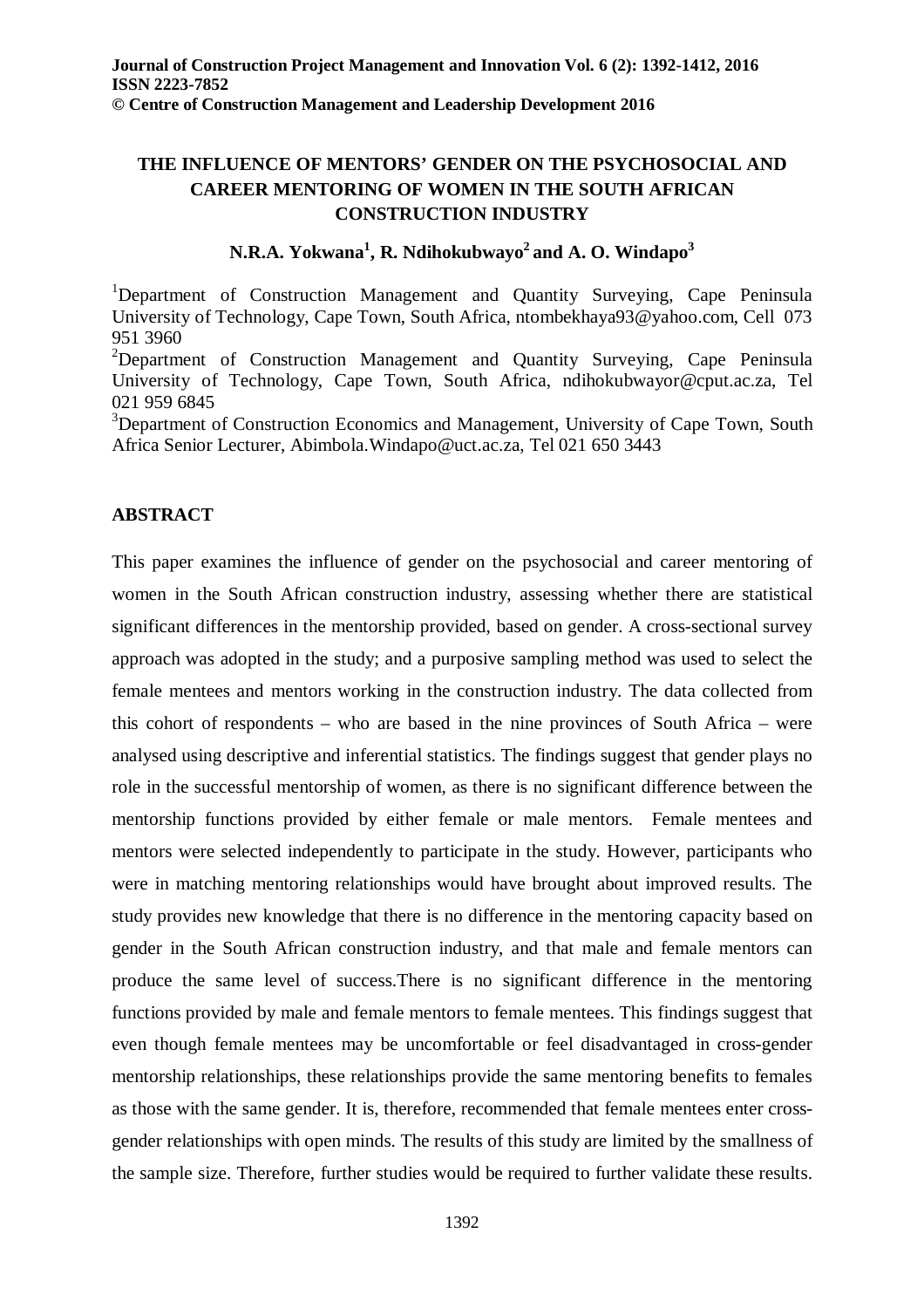# **THE INFLUENCE OF MENTORS' GENDER ON THE PSYCHOSOCIAL AND CAREER MENTORING OF WOMEN IN THE SOUTH AFRICAN CONSTRUCTION INDUSTRY**

## **N.R.A. Yokwana<sup>1</sup> , R. Ndihokubwayo<sup>2</sup>and A. O. Windapo<sup>3</sup>**

<sup>1</sup>Department of Construction Management and Quantity Surveying, Cape Peninsula University of Technology, Cape Town, South Africa, ntombekhaya93@yahoo.com, Cell 073 951 3960

<sup>2</sup>Department of Construction Management and Quantity Surveying, Cape Peninsula University of Technology, Cape Town, South Africa, ndihokubwayor@cput.ac.za, Tel 021 959 6845

<sup>3</sup>Department of Construction Economics and Management, University of Cape Town, South Africa Senior Lecturer, Abimbola.Windapo@uct.ac.za, Tel 021 650 3443

## **ABSTRACT**

This paper examines the influence of gender on the psychosocial and career mentoring of women in the South African construction industry, assessing whether there are statistical significant differences in the mentorship provided, based on gender. A cross-sectional survey approach was adopted in the study; and a purposive sampling method was used to select the female mentees and mentors working in the construction industry. The data collected from this cohort of respondents – who are based in the nine provinces of South Africa – were analysed using descriptive and inferential statistics. The findings suggest that gender plays no role in the successful mentorship of women, as there is no significant difference between the mentorship functions provided by either female or male mentors. Female mentees and mentors were selected independently to participate in the study. However, participants who were in matching mentoring relationships would have brought about improved results. The study provides new knowledge that there is no difference in the mentoring capacity based on gender in the South African construction industry, and that male and female mentors can produce the same level of success.There is no significant difference in the mentoring functions provided by male and female mentors to female mentees. This findings suggest that even though female mentees may be uncomfortable or feel disadvantaged in cross-gender mentorship relationships, these relationships provide the same mentoring benefits to females as those with the same gender. It is, therefore, recommended that female mentees enter crossgender relationships with open minds. The results of this study are limited by the smallness of the sample size. Therefore, further studies would be required to further validate these results.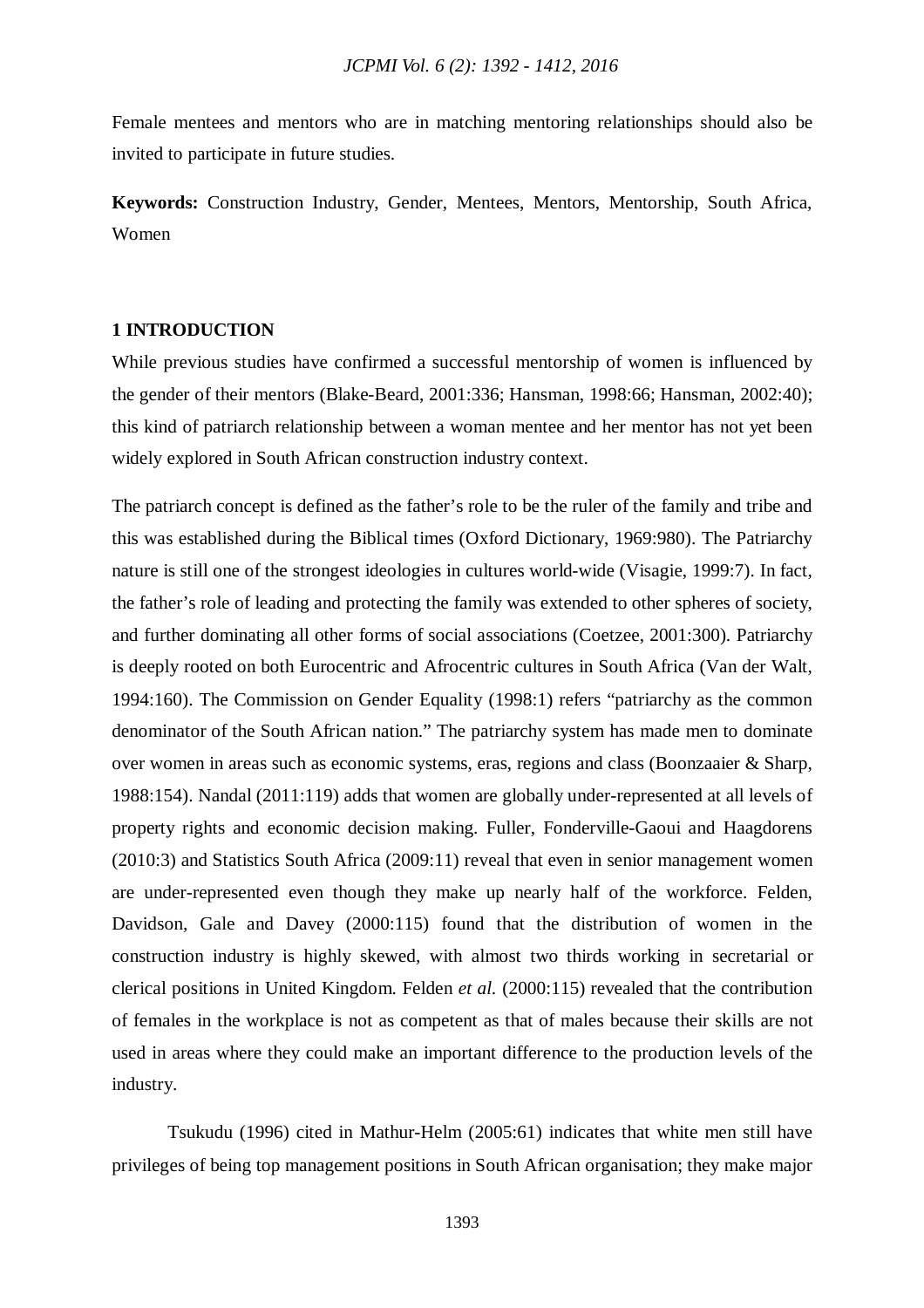Female mentees and mentors who are in matching mentoring relationships should also be invited to participate in future studies.

**Keywords:** Construction Industry, Gender, Mentees, Mentors, Mentorship, South Africa, Women

## **1 INTRODUCTION**

While previous studies have confirmed a successful mentorship of women is influenced by the gender of their mentors (Blake-Beard, 2001:336; Hansman, 1998:66; Hansman, 2002:40); this kind of patriarch relationship between a woman mentee and her mentor has not yet been widely explored in South African construction industry context.

The patriarch concept is defined as the father's role to be the ruler of the family and tribe and this was established during the Biblical times (Oxford Dictionary, 1969:980). The Patriarchy nature is still one of the strongest ideologies in cultures world-wide (Visagie, 1999:7). In fact, the father's role of leading and protecting the family was extended to other spheres of society, and further dominating all other forms of social associations (Coetzee, 2001:300). Patriarchy is deeply rooted on both Eurocentric and Afrocentric cultures in South Africa (Van der Walt, 1994:160). The Commission on Gender Equality (1998:1) refers "patriarchy as the common denominator of the South African nation." The patriarchy system has made men to dominate over women in areas such as economic systems, eras, regions and class (Boonzaaier & Sharp, 1988:154). Nandal (2011:119) adds that women are globally under-represented at all levels of property rights and economic decision making. Fuller, Fonderville-Gaoui and Haagdorens (2010:3) and Statistics South Africa (2009:11) reveal that even in senior management women are under-represented even though they make up nearly half of the workforce. Felden, Davidson, Gale and Davey (2000:115) found that the distribution of women in the construction industry is highly skewed, with almost two thirds working in secretarial or clerical positions in United Kingdom. Felden *et al.* (2000:115) revealed that the contribution of females in the workplace is not as competent as that of males because their skills are not used in areas where they could make an important difference to the production levels of the industry.

Tsukudu (1996) cited in Mathur-Helm (2005:61) indicates that white men still have privileges of being top management positions in South African organisation; they make major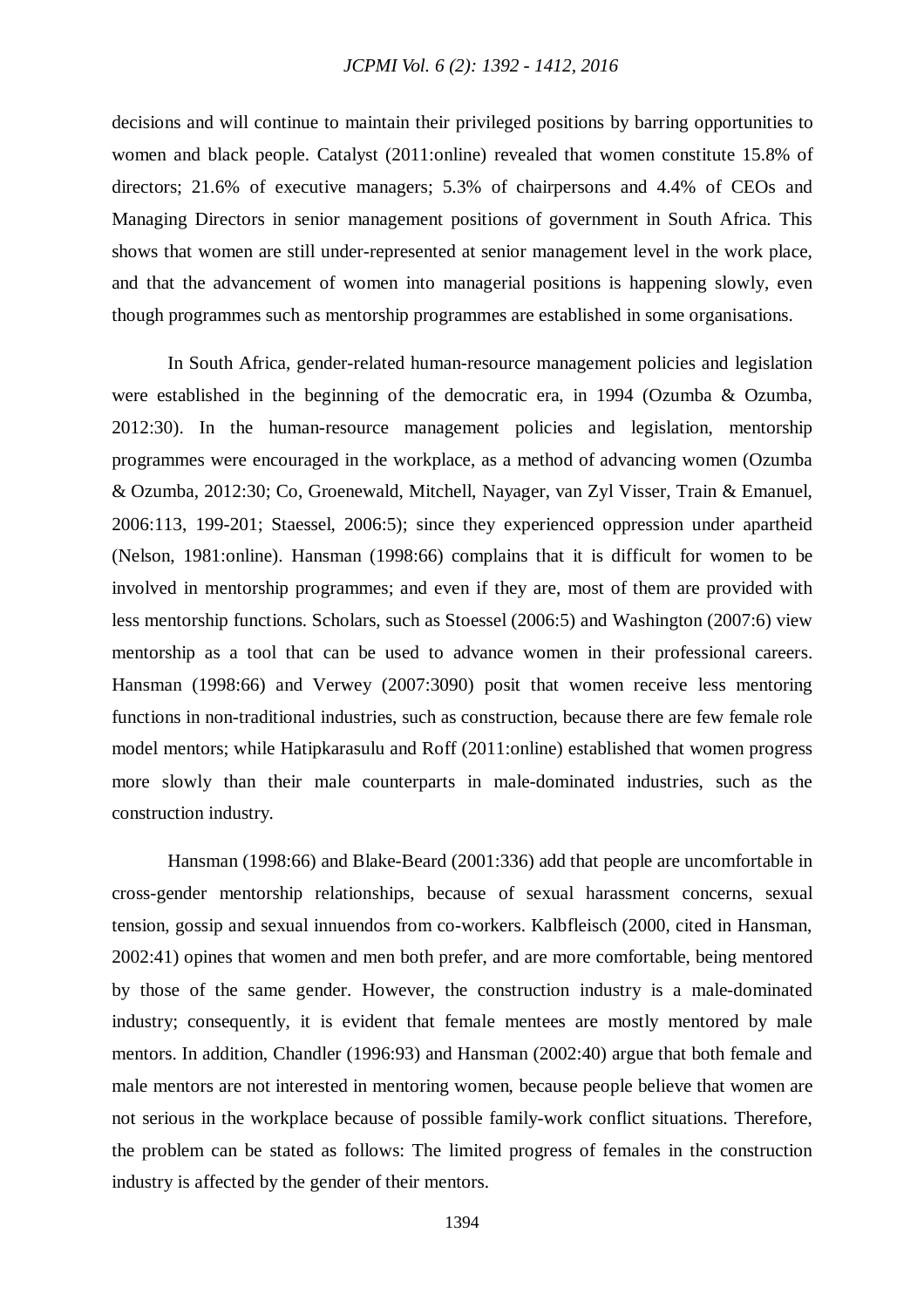decisions and will continue to maintain their privileged positions by barring opportunities to women and black people. Catalyst (2011:online) revealed that women constitute 15.8% of directors; 21.6% of executive managers; 5.3% of chairpersons and 4.4% of CEOs and Managing Directors in senior management positions of government in South Africa. This shows that women are still under-represented at senior management level in the work place, and that the advancement of women into managerial positions is happening slowly, even though programmes such as mentorship programmes are established in some organisations.

In South Africa, gender-related human-resource management policies and legislation were established in the beginning of the democratic era, in 1994 (Ozumba & Ozumba, 2012:30). In the human-resource management policies and legislation, mentorship programmes were encouraged in the workplace, as a method of advancing women (Ozumba & Ozumba, 2012:30; Co, Groenewald, Mitchell, Nayager, van Zyl Visser, Train & Emanuel, 2006:113, 199-201; Staessel, 2006:5); since they experienced oppression under apartheid (Nelson, 1981:online). Hansman (1998:66) complains that it is difficult for women to be involved in mentorship programmes; and even if they are, most of them are provided with less mentorship functions. Scholars, such as Stoessel (2006:5) and Washington (2007:6) view mentorship as a tool that can be used to advance women in their professional careers. Hansman (1998:66) and Verwey (2007:3090) posit that women receive less mentoring functions in non-traditional industries, such as construction, because there are few female role model mentors; while Hatipkarasulu and Roff (2011:online) established that women progress more slowly than their male counterparts in male-dominated industries, such as the construction industry.

Hansman (1998:66) and Blake-Beard (2001:336) add that people are uncomfortable in cross-gender mentorship relationships, because of sexual harassment concerns, sexual tension, gossip and sexual innuendos from co-workers. Kalbfleisch (2000, cited in Hansman, 2002:41) opines that women and men both prefer, and are more comfortable, being mentored by those of the same gender. However, the construction industry is a male-dominated industry; consequently, it is evident that female mentees are mostly mentored by male mentors. In addition, Chandler (1996:93) and Hansman (2002:40) argue that both female and male mentors are not interested in mentoring women, because people believe that women are not serious in the workplace because of possible family-work conflict situations. Therefore, the problem can be stated as follows: The limited progress of females in the construction industry is affected by the gender of their mentors.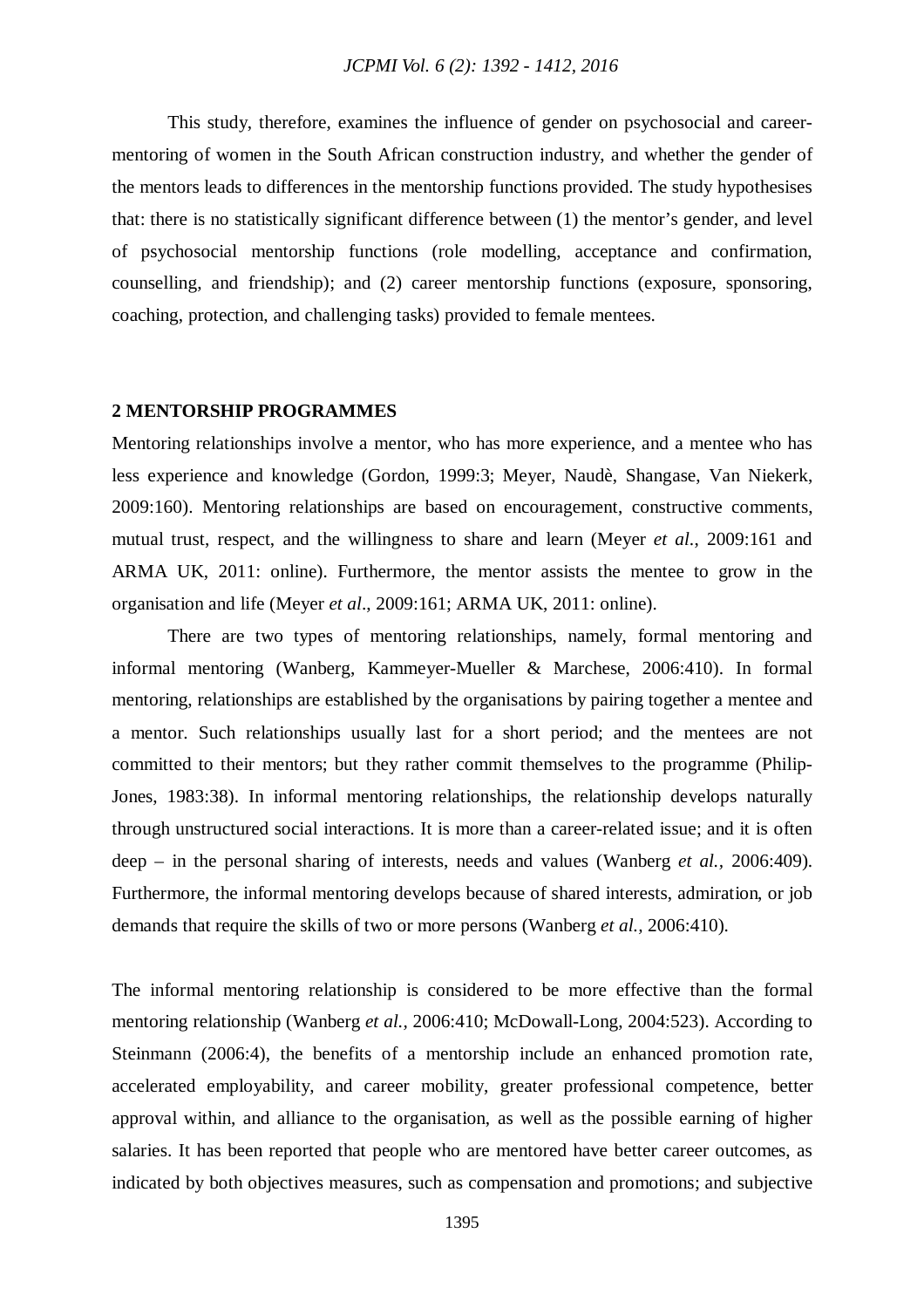This study, therefore, examines the influence of gender on psychosocial and careermentoring of women in the South African construction industry, and whether the gender of the mentors leads to differences in the mentorship functions provided. The study hypothesises that: there is no statistically significant difference between (1) the mentor's gender, and level of psychosocial mentorship functions (role modelling, acceptance and confirmation, counselling, and friendship); and (2) career mentorship functions (exposure, sponsoring, coaching, protection, and challenging tasks) provided to female mentees.

#### **2 MENTORSHIP PROGRAMMES**

Mentoring relationships involve a mentor, who has more experience, and a mentee who has less experience and knowledge (Gordon, 1999:3; Meyer, Naudè, Shangase, Van Niekerk, 2009:160). Mentoring relationships are based on encouragement, constructive comments, mutual trust, respect, and the willingness to share and learn (Meyer *et al*., 2009:161 and ARMA UK, 2011: online). Furthermore, the mentor assists the mentee to grow in the organisation and life (Meyer *et al*., 2009:161; ARMA UK, 2011: online).

There are two types of mentoring relationships, namely, formal mentoring and informal mentoring (Wanberg, Kammeyer-Mueller & Marchese, 2006:410). In formal mentoring, relationships are established by the organisations by pairing together a mentee and a mentor. Such relationships usually last for a short period; and the mentees are not committed to their mentors; but they rather commit themselves to the programme (Philip-Jones, 1983:38). In informal mentoring relationships, the relationship develops naturally through unstructured social interactions. It is more than a career-related issue; and it is often deep – in the personal sharing of interests, needs and values (Wanberg *et al.,* 2006:409). Furthermore, the informal mentoring develops because of shared interests, admiration, or job demands that require the skills of two or more persons (Wanberg *et al.,* 2006:410).

The informal mentoring relationship is considered to be more effective than the formal mentoring relationship (Wanberg *et al.,* 2006:410; McDowall-Long, 2004:523). According to Steinmann (2006:4), the benefits of a mentorship include an enhanced promotion rate, accelerated employability, and career mobility, greater professional competence, better approval within, and alliance to the organisation, as well as the possible earning of higher salaries. It has been reported that people who are mentored have better career outcomes, as indicated by both objectives measures, such as compensation and promotions; and subjective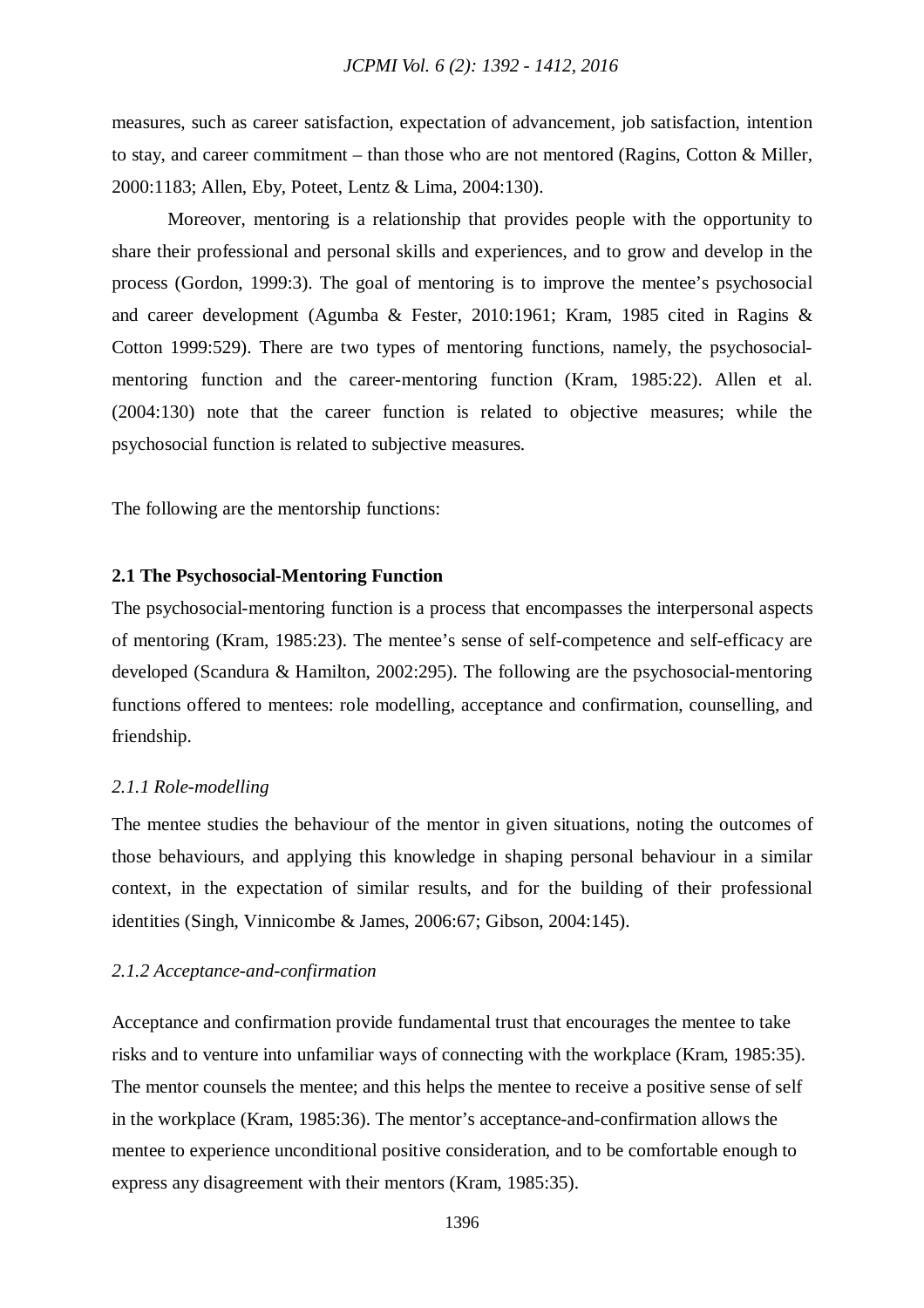measures, such as career satisfaction, expectation of advancement, job satisfaction, intention to stay, and career commitment – than those who are not mentored (Ragins, Cotton & Miller, 2000:1183; Allen, Eby, Poteet, Lentz & Lima, 2004:130).

Moreover, mentoring is a relationship that provides people with the opportunity to share their professional and personal skills and experiences, and to grow and develop in the process (Gordon, 1999:3). The goal of mentoring is to improve the mentee's psychosocial and career development (Agumba & Fester, 2010:1961; Kram, 1985 cited in Ragins & Cotton 1999:529). There are two types of mentoring functions, namely, the psychosocialmentoring function and the career-mentoring function (Kram, 1985:22). Allen et al. (2004:130) note that the career function is related to objective measures; while the psychosocial function is related to subjective measures.

The following are the mentorship functions:

#### **2.1 The Psychosocial-Mentoring Function**

The psychosocial-mentoring function is a process that encompasses the interpersonal aspects of mentoring (Kram, 1985:23). The mentee's sense of self-competence and self-efficacy are developed (Scandura & Hamilton, 2002:295). The following are the psychosocial-mentoring functions offered to mentees: role modelling, acceptance and confirmation, counselling, and friendship.

#### *2.1.1 Role-modelling*

The mentee studies the behaviour of the mentor in given situations, noting the outcomes of those behaviours, and applying this knowledge in shaping personal behaviour in a similar context, in the expectation of similar results, and for the building of their professional identities (Singh, Vinnicombe & James, 2006:67; Gibson, 2004:145).

#### *2.1.2 Acceptance-and-confirmation*

Acceptance and confirmation provide fundamental trust that encourages the mentee to take risks and to venture into unfamiliar ways of connecting with the workplace (Kram, 1985:35). The mentor counsels the mentee; and this helps the mentee to receive a positive sense of self in the workplace (Kram, 1985:36). The mentor's acceptance-and-confirmation allows the mentee to experience unconditional positive consideration, and to be comfortable enough to express any disagreement with their mentors (Kram, 1985:35).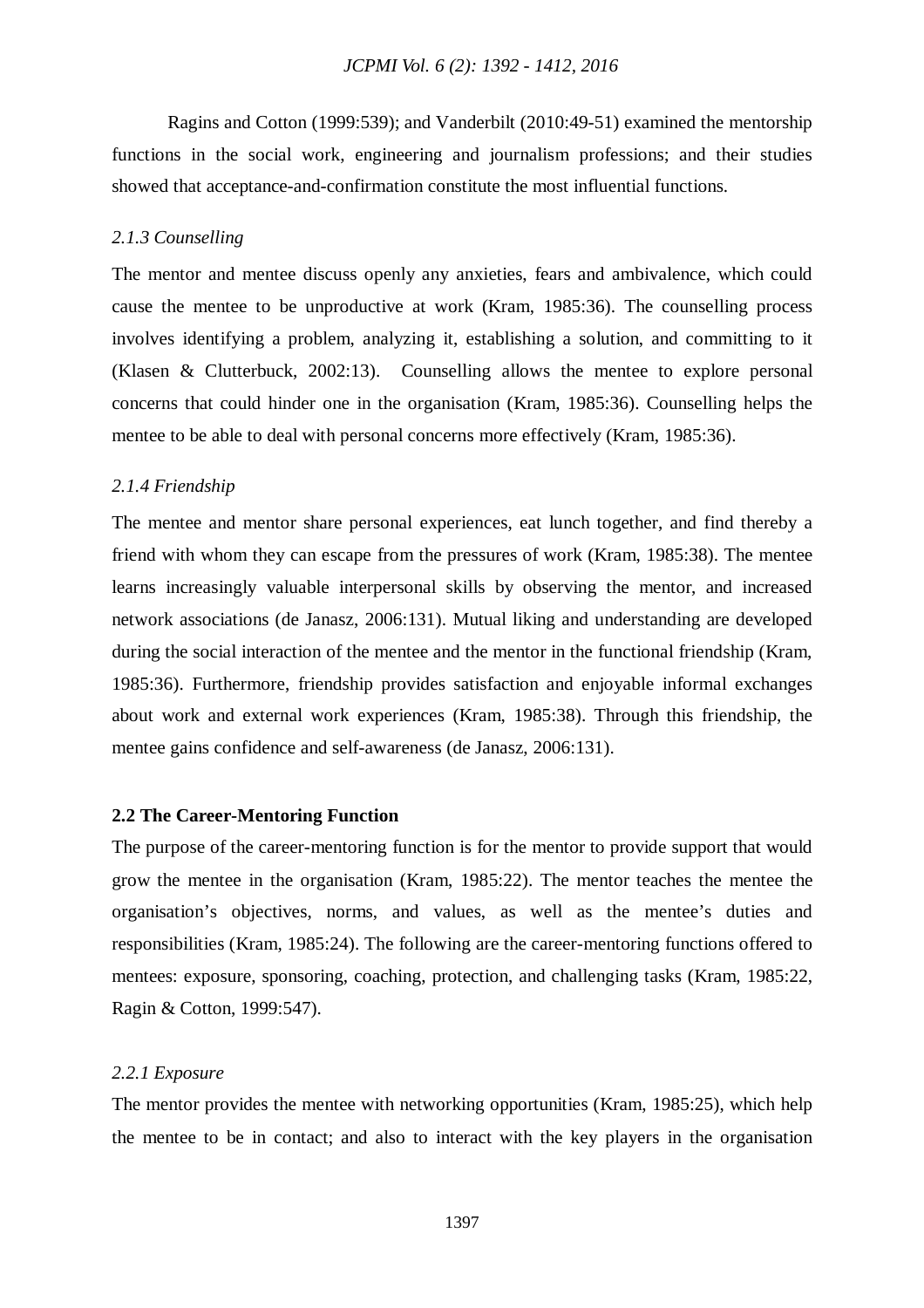Ragins and Cotton (1999:539); and Vanderbilt (2010:49-51) examined the mentorship functions in the social work, engineering and journalism professions; and their studies showed that acceptance-and-confirmation constitute the most influential functions.

## *2.1.3 Counselling*

The mentor and mentee discuss openly any anxieties, fears and ambivalence, which could cause the mentee to be unproductive at work (Kram, 1985:36). The counselling process involves identifying a problem, analyzing it, establishing a solution, and committing to it (Klasen & Clutterbuck, 2002:13). Counselling allows the mentee to explore personal concerns that could hinder one in the organisation (Kram, 1985:36). Counselling helps the mentee to be able to deal with personal concerns more effectively (Kram, 1985:36).

## *2.1.4 Friendship*

The mentee and mentor share personal experiences, eat lunch together, and find thereby a friend with whom they can escape from the pressures of work (Kram, 1985:38). The mentee learns increasingly valuable interpersonal skills by observing the mentor, and increased network associations (de Janasz, 2006:131). Mutual liking and understanding are developed during the social interaction of the mentee and the mentor in the functional friendship (Kram, 1985:36). Furthermore, friendship provides satisfaction and enjoyable informal exchanges about work and external work experiences (Kram, 1985:38). Through this friendship, the mentee gains confidence and self-awareness (de Janasz, 2006:131).

## **2.2 The Career-Mentoring Function**

The purpose of the career-mentoring function is for the mentor to provide support that would grow the mentee in the organisation (Kram, 1985:22). The mentor teaches the mentee the organisation's objectives, norms, and values, as well as the mentee's duties and responsibilities (Kram, 1985:24). The following are the career-mentoring functions offered to mentees: exposure, sponsoring, coaching, protection, and challenging tasks (Kram, 1985:22, Ragin & Cotton, 1999:547).

## *2.2.1 Exposure*

The mentor provides the mentee with networking opportunities (Kram, 1985:25), which help the mentee to be in contact; and also to interact with the key players in the organisation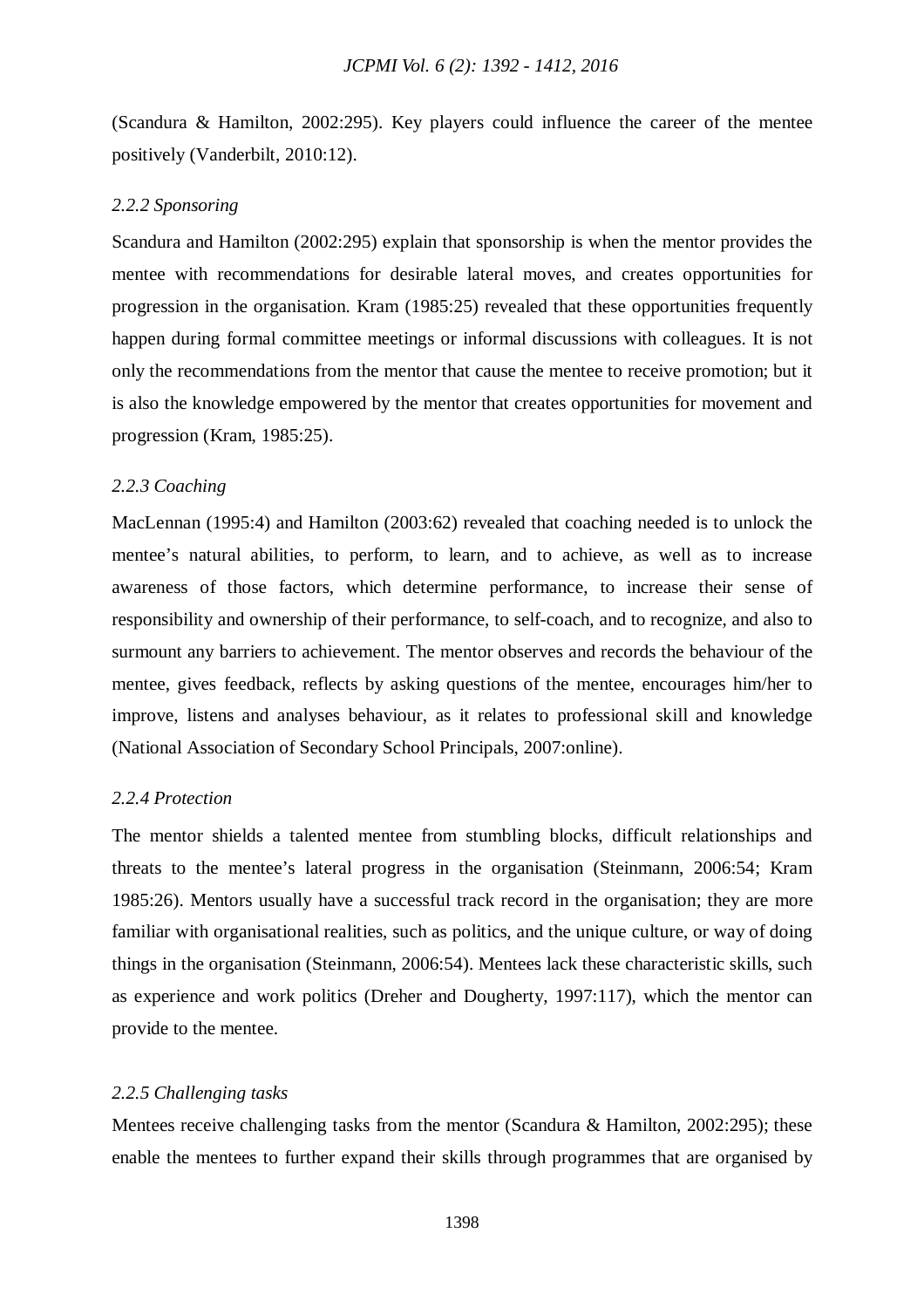(Scandura & Hamilton, 2002:295). Key players could influence the career of the mentee positively (Vanderbilt, 2010:12).

## *2.2.2 Sponsoring*

Scandura and Hamilton (2002:295) explain that sponsorship is when the mentor provides the mentee with recommendations for desirable lateral moves, and creates opportunities for progression in the organisation. Kram (1985:25) revealed that these opportunities frequently happen during formal committee meetings or informal discussions with colleagues. It is not only the recommendations from the mentor that cause the mentee to receive promotion; but it is also the knowledge empowered by the mentor that creates opportunities for movement and progression (Kram, 1985:25).

## *2.2.3 Coaching*

MacLennan (1995:4) and Hamilton (2003:62) revealed that coaching needed is to unlock the mentee's natural abilities, to perform, to learn, and to achieve, as well as to increase awareness of those factors, which determine performance, to increase their sense of responsibility and ownership of their performance, to self-coach, and to recognize, and also to surmount any barriers to achievement. The mentor observes and records the behaviour of the mentee, gives feedback, reflects by asking questions of the mentee, encourages him/her to improve, listens and analyses behaviour, as it relates to professional skill and knowledge (National Association of Secondary School Principals, 2007:online).

#### *2.2.4 Protection*

The mentor shields a talented mentee from stumbling blocks, difficult relationships and threats to the mentee's lateral progress in the organisation (Steinmann, 2006:54; Kram 1985:26). Mentors usually have a successful track record in the organisation; they are more familiar with organisational realities, such as politics, and the unique culture, or way of doing things in the organisation (Steinmann, 2006:54). Mentees lack these characteristic skills, such as experience and work politics (Dreher and Dougherty, 1997:117), which the mentor can provide to the mentee.

## *2.2.5 Challenging tasks*

Mentees receive challenging tasks from the mentor (Scandura & Hamilton, 2002:295); these enable the mentees to further expand their skills through programmes that are organised by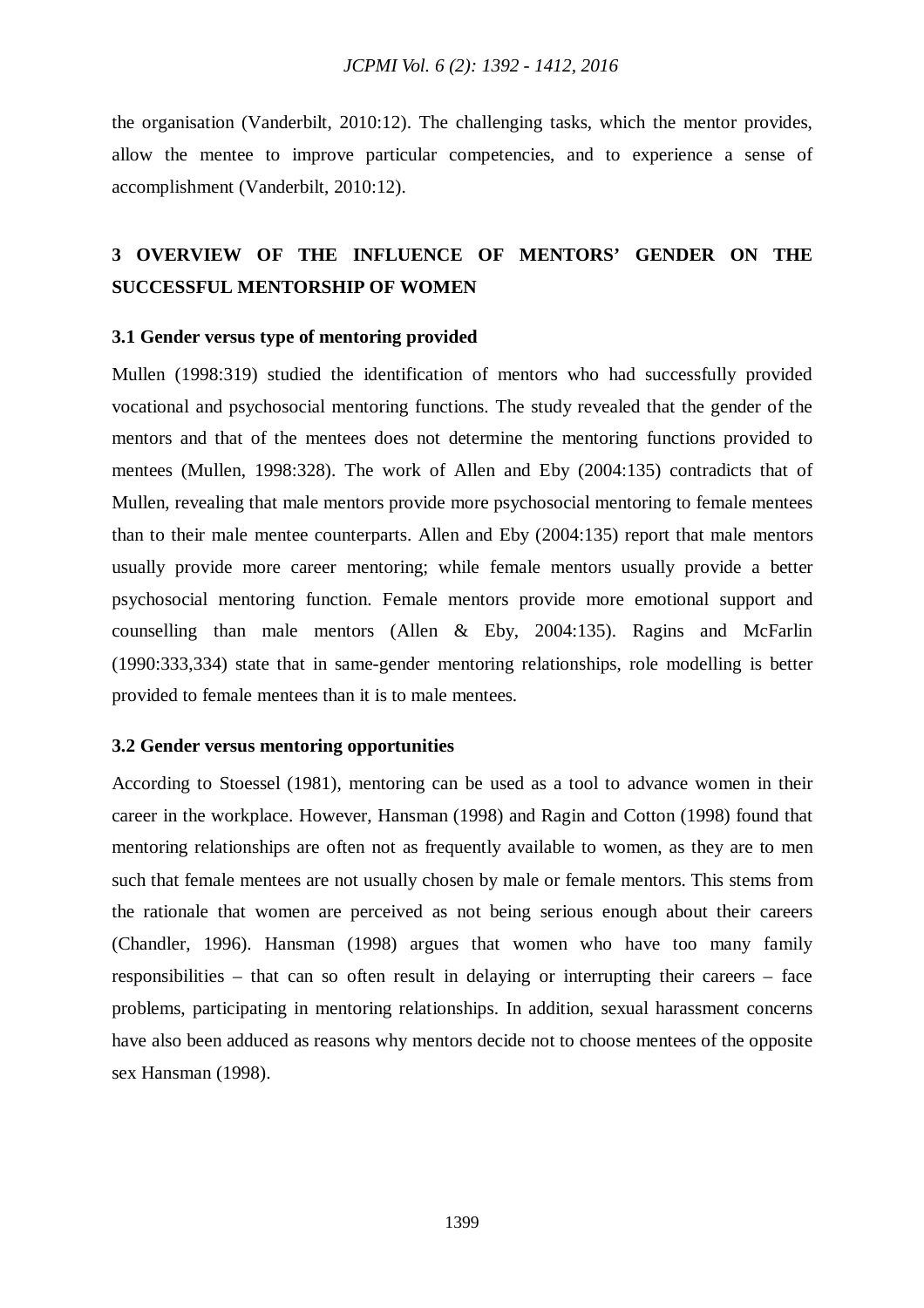the organisation (Vanderbilt, 2010:12). The challenging tasks, which the mentor provides, allow the mentee to improve particular competencies, and to experience a sense of accomplishment (Vanderbilt, 2010:12).

# **3 OVERVIEW OF THE INFLUENCE OF MENTORS' GENDER ON THE SUCCESSFUL MENTORSHIP OF WOMEN**

#### **3.1 Gender versus type of mentoring provided**

Mullen (1998:319) studied the identification of mentors who had successfully provided vocational and psychosocial mentoring functions. The study revealed that the gender of the mentors and that of the mentees does not determine the mentoring functions provided to mentees (Mullen, 1998:328). The work of Allen and Eby (2004:135) contradicts that of Mullen, revealing that male mentors provide more psychosocial mentoring to female mentees than to their male mentee counterparts. Allen and Eby (2004:135) report that male mentors usually provide more career mentoring; while female mentors usually provide a better psychosocial mentoring function. Female mentors provide more emotional support and counselling than male mentors (Allen & Eby, 2004:135). Ragins and McFarlin (1990:333,334) state that in same-gender mentoring relationships, role modelling is better provided to female mentees than it is to male mentees.

#### **3.2 Gender versus mentoring opportunities**

According to Stoessel (1981), mentoring can be used as a tool to advance women in their career in the workplace. However, Hansman (1998) and Ragin and Cotton (1998) found that mentoring relationships are often not as frequently available to women, as they are to men such that female mentees are not usually chosen by male or female mentors. This stems from the rationale that women are perceived as not being serious enough about their careers (Chandler, 1996). Hansman (1998) argues that women who have too many family responsibilities – that can so often result in delaying or interrupting their careers – face problems, participating in mentoring relationships. In addition, sexual harassment concerns have also been adduced as reasons why mentors decide not to choose mentees of the opposite sex Hansman (1998).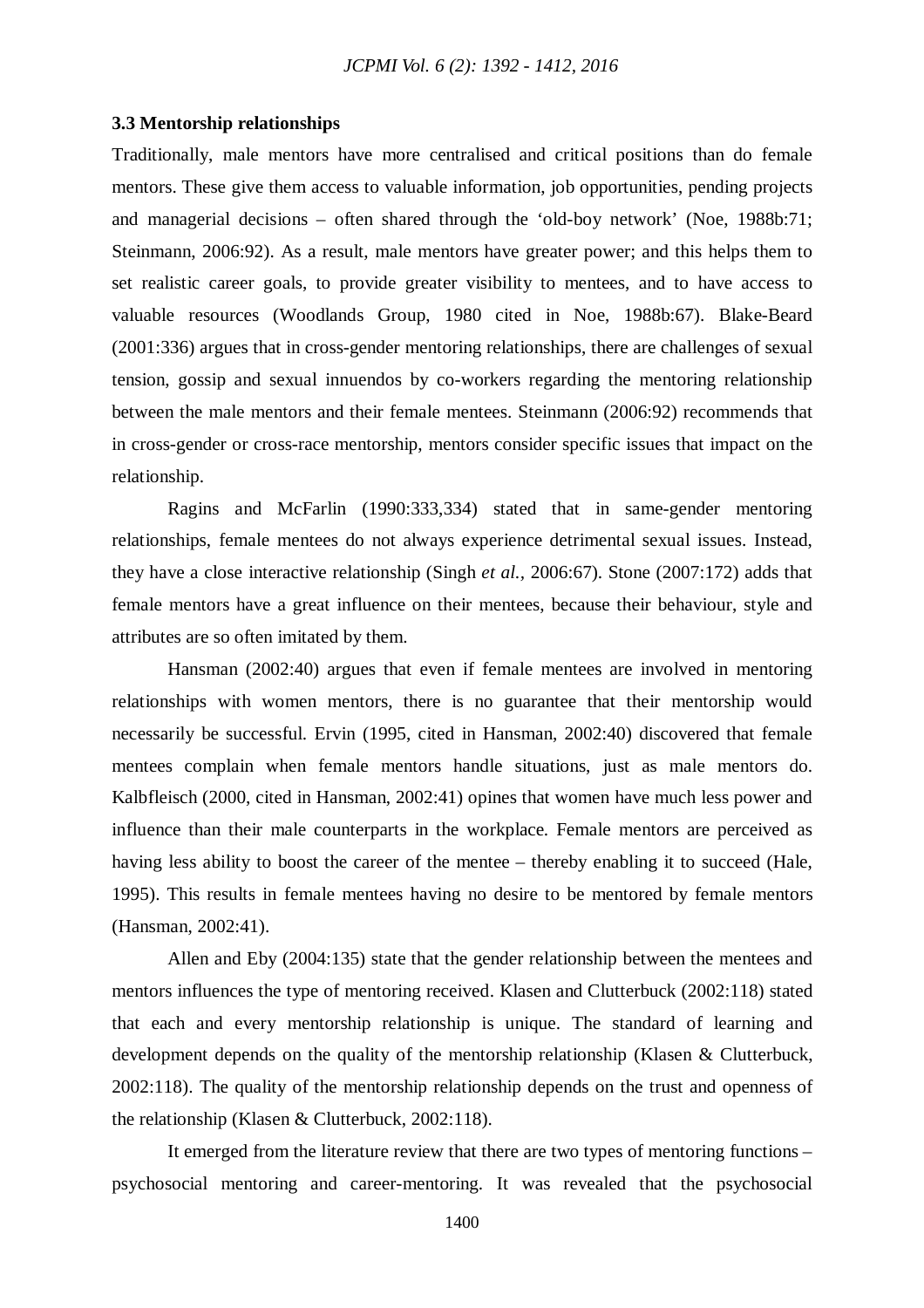#### **3.3 Mentorship relationships**

Traditionally, male mentors have more centralised and critical positions than do female mentors. These give them access to valuable information, job opportunities, pending projects and managerial decisions – often shared through the 'old-boy network' (Noe, 1988b:71; Steinmann, 2006:92). As a result, male mentors have greater power; and this helps them to set realistic career goals, to provide greater visibility to mentees, and to have access to valuable resources (Woodlands Group, 1980 cited in Noe, 1988b:67). Blake-Beard (2001:336) argues that in cross-gender mentoring relationships, there are challenges of sexual tension, gossip and sexual innuendos by co-workers regarding the mentoring relationship between the male mentors and their female mentees. Steinmann (2006:92) recommends that in cross-gender or cross-race mentorship, mentors consider specific issues that impact on the relationship.

Ragins and McFarlin (1990:333,334) stated that in same-gender mentoring relationships, female mentees do not always experience detrimental sexual issues. Instead, they have a close interactive relationship (Singh *et al.,* 2006:67). Stone (2007:172) adds that female mentors have a great influence on their mentees, because their behaviour, style and attributes are so often imitated by them.

Hansman (2002:40) argues that even if female mentees are involved in mentoring relationships with women mentors, there is no guarantee that their mentorship would necessarily be successful. Ervin (1995, cited in Hansman, 2002:40) discovered that female mentees complain when female mentors handle situations, just as male mentors do. Kalbfleisch (2000, cited in Hansman, 2002:41) opines that women have much less power and influence than their male counterparts in the workplace. Female mentors are perceived as having less ability to boost the career of the mentee – thereby enabling it to succeed (Hale, 1995). This results in female mentees having no desire to be mentored by female mentors (Hansman, 2002:41).

Allen and Eby (2004:135) state that the gender relationship between the mentees and mentors influences the type of mentoring received. Klasen and Clutterbuck (2002:118) stated that each and every mentorship relationship is unique. The standard of learning and development depends on the quality of the mentorship relationship (Klasen & Clutterbuck, 2002:118). The quality of the mentorship relationship depends on the trust and openness of the relationship (Klasen & Clutterbuck, 2002:118).

It emerged from the literature review that there are two types of mentoring functions – psychosocial mentoring and career-mentoring. It was revealed that the psychosocial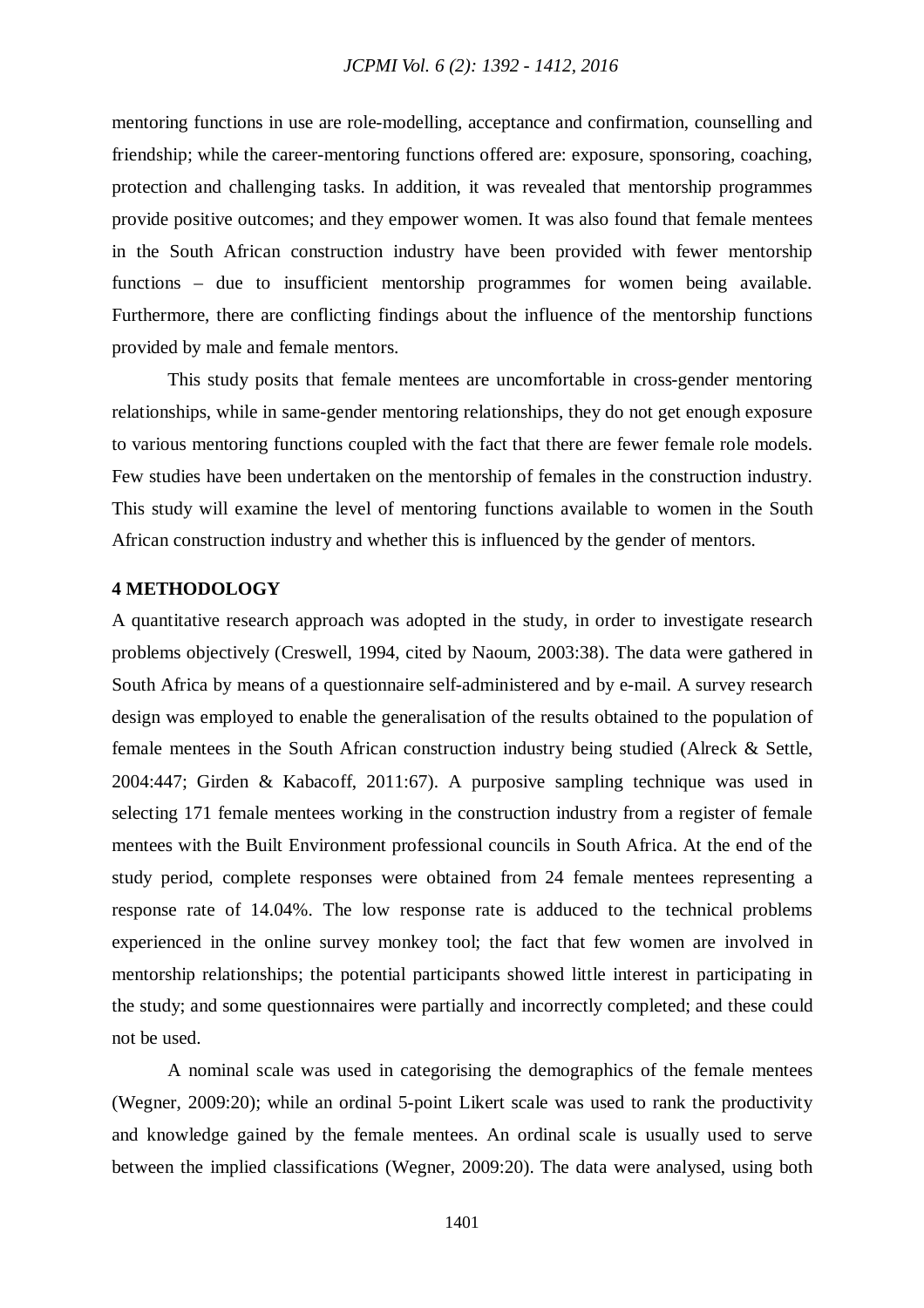mentoring functions in use are role-modelling, acceptance and confirmation, counselling and friendship; while the career-mentoring functions offered are: exposure, sponsoring, coaching, protection and challenging tasks. In addition, it was revealed that mentorship programmes provide positive outcomes; and they empower women. It was also found that female mentees in the South African construction industry have been provided with fewer mentorship functions – due to insufficient mentorship programmes for women being available. Furthermore, there are conflicting findings about the influence of the mentorship functions provided by male and female mentors.

This study posits that female mentees are uncomfortable in cross-gender mentoring relationships, while in same-gender mentoring relationships, they do not get enough exposure to various mentoring functions coupled with the fact that there are fewer female role models. Few studies have been undertaken on the mentorship of females in the construction industry. This study will examine the level of mentoring functions available to women in the South African construction industry and whether this is influenced by the gender of mentors.

#### **4 METHODOLOGY**

A quantitative research approach was adopted in the study, in order to investigate research problems objectively (Creswell, 1994, cited by Naoum, 2003:38). The data were gathered in South Africa by means of a questionnaire self-administered and by e-mail. A survey research design was employed to enable the generalisation of the results obtained to the population of female mentees in the South African construction industry being studied (Alreck & Settle, 2004:447; Girden & Kabacoff, 2011:67). A purposive sampling technique was used in selecting 171 female mentees working in the construction industry from a register of female mentees with the Built Environment professional councils in South Africa. At the end of the study period, complete responses were obtained from 24 female mentees representing a response rate of 14.04%. The low response rate is adduced to the technical problems experienced in the online survey monkey tool; the fact that few women are involved in mentorship relationships; the potential participants showed little interest in participating in the study; and some questionnaires were partially and incorrectly completed; and these could not be used.

A nominal scale was used in categorising the demographics of the female mentees (Wegner, 2009:20); while an ordinal 5-point Likert scale was used to rank the productivity and knowledge gained by the female mentees. An ordinal scale is usually used to serve between the implied classifications (Wegner, 2009:20). The data were analysed, using both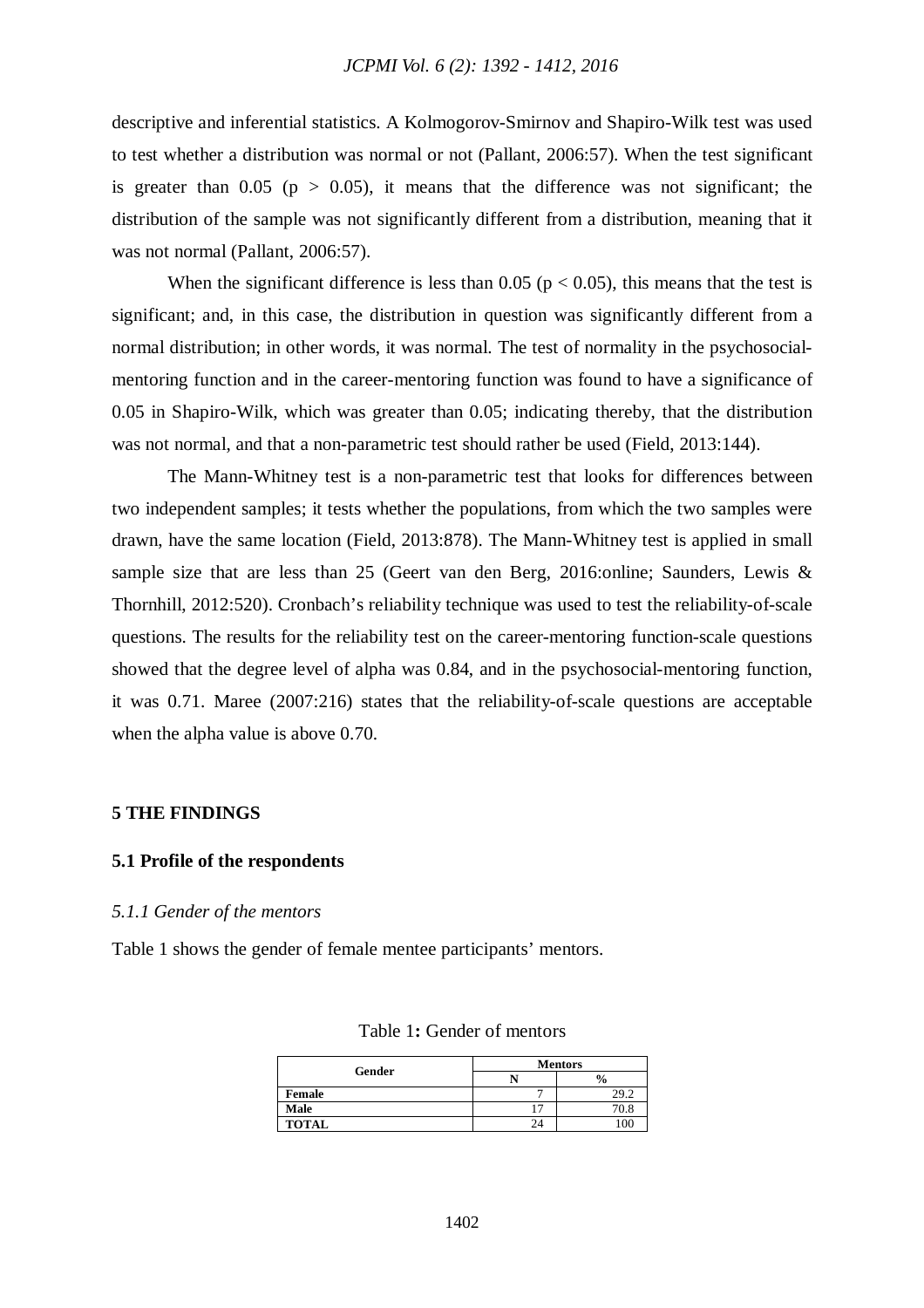descriptive and inferential statistics. A Kolmogorov-Smirnov and Shapiro-Wilk test was used to test whether a distribution was normal or not (Pallant, 2006:57). When the test significant is greater than  $0.05$  ( $p > 0.05$ ), it means that the difference was not significant; the distribution of the sample was not significantly different from a distribution, meaning that it was not normal (Pallant, 2006:57).

When the significant difference is less than 0.05 ( $p < 0.05$ ), this means that the test is significant; and, in this case, the distribution in question was significantly different from a normal distribution; in other words, it was normal. The test of normality in the psychosocialmentoring function and in the career-mentoring function was found to have a significance of 0.05 in Shapiro-Wilk, which was greater than 0.05; indicating thereby, that the distribution was not normal, and that a non-parametric test should rather be used (Field, 2013:144).

The Mann-Whitney test is a non-parametric test that looks for differences between two independent samples; it tests whether the populations, from which the two samples were drawn, have the same location (Field, 2013:878). The Mann-Whitney test is applied in small sample size that are less than 25 (Geert van den Berg, 2016:online; Saunders, Lewis & Thornhill, 2012:520). Cronbach's reliability technique was used to test the reliability-of-scale questions. The results for the reliability test on the career-mentoring function-scale questions showed that the degree level of alpha was 0.84, and in the psychosocial-mentoring function, it was 0.71. Maree (2007:216) states that the reliability-of-scale questions are acceptable when the alpha value is above 0.70.

#### **5 THE FINDINGS**

#### **5.1 Profile of the respondents**

#### *5.1.1 Gender of the mentors*

Table 1 shows the gender of female mentee participants' mentors.

| Gender       | <b>Mentors</b> |               |  |  |
|--------------|----------------|---------------|--|--|
|              |                | $\frac{1}{2}$ |  |  |
| Female       |                | 29.2          |  |  |
| Male         |                | 70.8          |  |  |
| <b>TOTAL</b> | 24             | 100           |  |  |

| Table 1: Gender of mentors |  |
|----------------------------|--|
|----------------------------|--|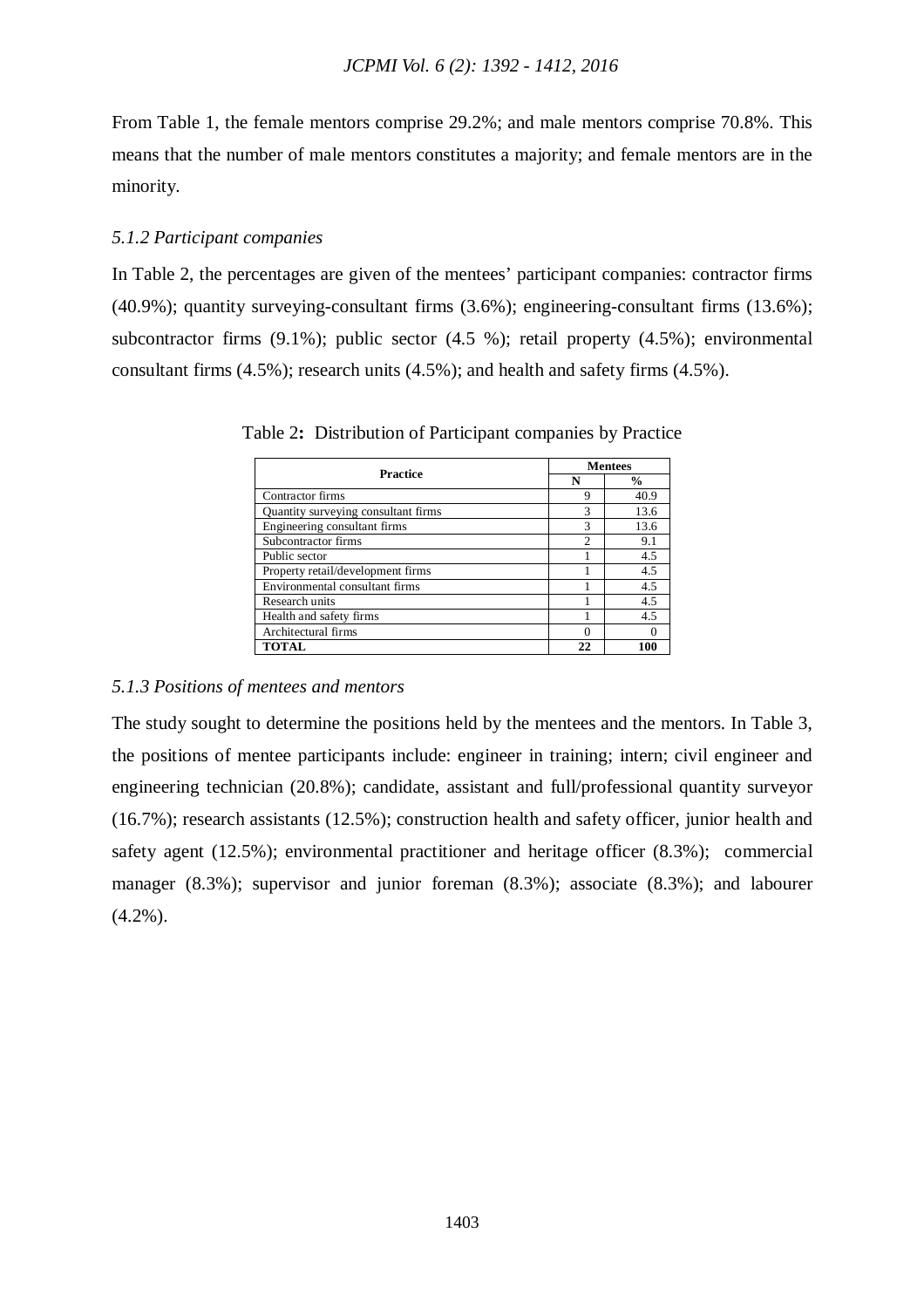From Table 1, the female mentors comprise 29.2%; and male mentors comprise 70.8%. This means that the number of male mentors constitutes a majority; and female mentors are in the minority.

## *5.1.2 Participant companies*

In Table 2, the percentages are given of the mentees' participant companies: contractor firms (40.9%); quantity surveying-consultant firms (3.6%); engineering-consultant firms (13.6%); subcontractor firms (9.1%); public sector (4.5 %); retail property (4.5%); environmental consultant firms (4.5%); research units (4.5%); and health and safety firms (4.5%).

| <b>Practice</b>                     | <b>Mentees</b> |               |  |  |
|-------------------------------------|----------------|---------------|--|--|
|                                     | N              | $\frac{0}{0}$ |  |  |
| Contractor firms                    | 9              | 40.9          |  |  |
| Quantity surveying consultant firms | 3              | 13.6          |  |  |
| Engineering consultant firms        | 3              | 13.6          |  |  |
| Subcontractor firms                 | $\mathfrak{D}$ | 9.1           |  |  |
| Public sector                       |                | 4.5           |  |  |
| Property retail/development firms   |                | 4.5           |  |  |
| Environmental consultant firms      |                | 4.5           |  |  |
| Research units                      |                | 4.5           |  |  |
| Health and safety firms             |                | 4.5           |  |  |
| Architectural firms                 |                |               |  |  |
| <b>TOTAL</b>                        | 22             | 100           |  |  |

Table 2**:** Distribution of Participant companies by Practice

#### *5.1.3 Positions of mentees and mentors*

The study sought to determine the positions held by the mentees and the mentors. In Table 3, the positions of mentee participants include: engineer in training; intern; civil engineer and engineering technician (20.8%); candidate, assistant and full/professional quantity surveyor (16.7%); research assistants (12.5%); construction health and safety officer, junior health and safety agent (12.5%); environmental practitioner and heritage officer (8.3%); commercial manager (8.3%); supervisor and junior foreman (8.3%); associate (8.3%); and labourer  $(4.2\%)$ .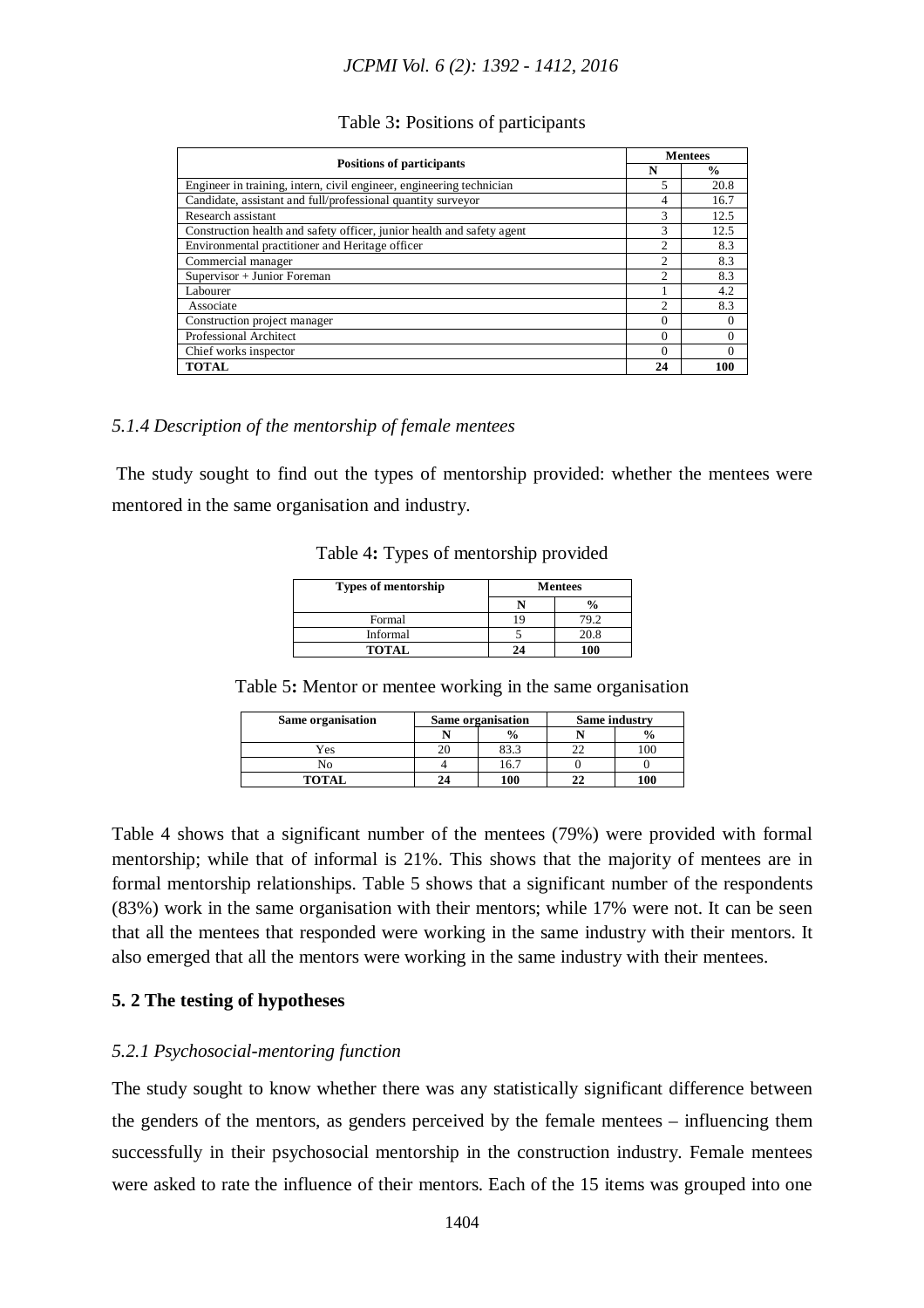#### Table 3**:** Positions of participants

| <b>Positions of participants</b>                                       |                | <b>Mentees</b> |  |  |
|------------------------------------------------------------------------|----------------|----------------|--|--|
|                                                                        |                | $\frac{0}{0}$  |  |  |
| Engineer in training, intern, civil engineer, engineering technician   | 5              | 20.8           |  |  |
| Candidate, assistant and full/professional quantity surveyor           | 4              | 16.7           |  |  |
| Research assistant                                                     | 3              | 12.5           |  |  |
| Construction health and safety officer, junior health and safety agent | 3              | 12.5           |  |  |
| Environmental practitioner and Heritage officer                        | $\overline{c}$ | 8.3            |  |  |
| Commercial manager                                                     | 2              | 8.3            |  |  |
| Supervisor + Junior Foreman                                            | $\mathfrak{D}$ | 8.3            |  |  |
| Labourer                                                               |                | 4.2            |  |  |
| Associate                                                              | $\mathfrak{D}$ | 8.3            |  |  |
| Construction project manager                                           | $\Omega$       | $\Omega$       |  |  |
| Professional Architect                                                 | $\Omega$       | $\Omega$       |  |  |
| Chief works inspector                                                  | $\Omega$       | $\theta$       |  |  |
| <b>TOTAL</b>                                                           | 24             | 100            |  |  |

## *5.1.4 Description of the mentorship of female mentees*

The study sought to find out the types of mentorship provided: whether the mentees were mentored in the same organisation and industry.

|  |  |  |  | Table 4: Types of mentorship provided |
|--|--|--|--|---------------------------------------|
|--|--|--|--|---------------------------------------|

| <b>Types of mentorship</b> | <b>Mentees</b> |  |  |
|----------------------------|----------------|--|--|
|                            |                |  |  |
| Formal                     | 79.2           |  |  |
| Informal                   | 20.8           |  |  |
| <b>TOTAL</b>               | 100            |  |  |

Table 5**:** Mentor or mentee working in the same organisation

| Same organisation | Same organisation |               |               |  | Same industry |
|-------------------|-------------------|---------------|---------------|--|---------------|
|                   |                   | $\frac{0}{0}$ | $\frac{0}{0}$ |  |               |
| Yes               |                   | റെ എ          | 100           |  |               |
| N٥                |                   | 16.7          |               |  |               |
| <b>TOTAL</b>      | 24                | 100           | 100           |  |               |

Table 4 shows that a significant number of the mentees (79%) were provided with formal mentorship; while that of informal is 21%. This shows that the majority of mentees are in formal mentorship relationships. Table 5 shows that a significant number of the respondents (83%) work in the same organisation with their mentors; while 17% were not. It can be seen that all the mentees that responded were working in the same industry with their mentors. It also emerged that all the mentors were working in the same industry with their mentees.

## **5. 2 The testing of hypotheses**

#### *5.2.1 Psychosocial-mentoring function*

The study sought to know whether there was any statistically significant difference between the genders of the mentors, as genders perceived by the female mentees – influencing them successfully in their psychosocial mentorship in the construction industry. Female mentees were asked to rate the influence of their mentors. Each of the 15 items was grouped into one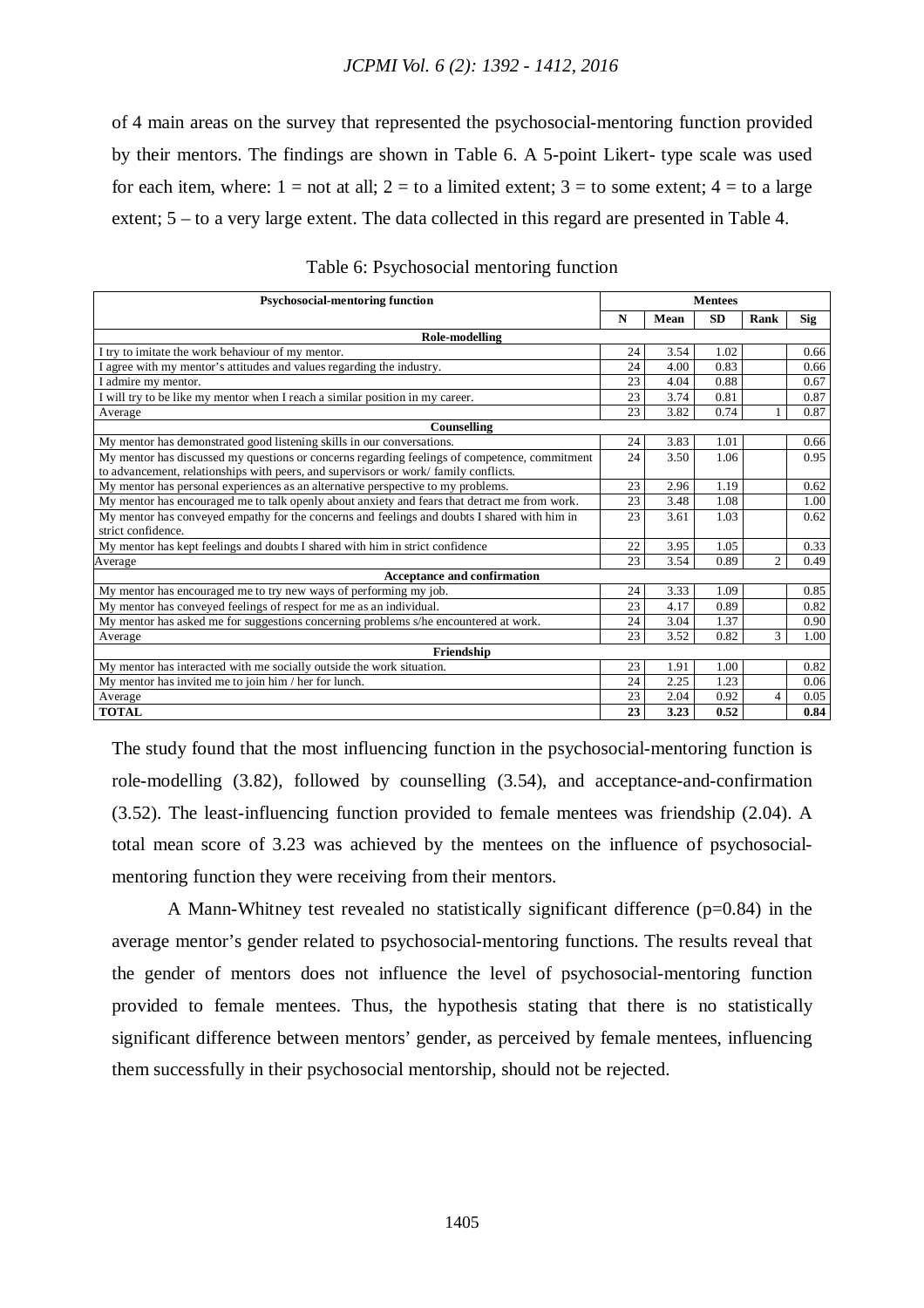of 4 main areas on the survey that represented the psychosocial-mentoring function provided by their mentors. The findings are shown in Table 6. A 5-point Likert- type scale was used for each item, where:  $1 = not$  at all;  $2 = to$  a limited extent;  $3 = to$  some extent;  $4 = to$  a large extent; 5 – to a very large extent. The data collected in this regard are presented in Table 4.

| <b>Psychosocial-mentoring function</b>                                                        | <b>Mentees</b> |      |           |                |            |
|-----------------------------------------------------------------------------------------------|----------------|------|-----------|----------------|------------|
|                                                                                               | $\mathbf N$    | Mean | <b>SD</b> | Rank           | <b>Sig</b> |
| Role-modelling                                                                                |                |      |           |                |            |
| I try to imitate the work behaviour of my mentor.                                             | 24             | 3.54 | 1.02      |                | 0.66       |
| I agree with my mentor's attitudes and values regarding the industry.                         | 24             | 4.00 | 0.83      |                | 0.66       |
| I admire my mentor.                                                                           | 23             | 4.04 | 0.88      |                | 0.67       |
| I will try to be like my mentor when I reach a similar position in my career.                 | 23             | 3.74 | 0.81      |                | 0.87       |
| Average                                                                                       | 23             | 3.82 | 0.74      |                | 0.87       |
| Counselling                                                                                   |                |      |           |                |            |
| My mentor has demonstrated good listening skills in our conversations.                        | 24             | 3.83 | 1.01      |                | 0.66       |
| My mentor has discussed my questions or concerns regarding feelings of competence, commitment | 24             | 3.50 | 1.06      |                | 0.95       |
| to advancement, relationships with peers, and supervisors or work/family conflicts.           |                |      |           |                |            |
| My mentor has personal experiences as an alternative perspective to my problems.              | 23             | 2.96 | 1.19      |                | 0.62       |
| My mentor has encouraged me to talk openly about anxiety and fears that detract me from work. | 23             | 3.48 | 1.08      |                | 1.00       |
| My mentor has conveyed empathy for the concerns and feelings and doubts I shared with him in  | 23             | 3.61 | 1.03      |                | 0.62       |
| strict confidence.                                                                            |                |      |           |                |            |
| My mentor has kept feelings and doubts I shared with him in strict confidence                 | 22             | 3.95 | 1.05      |                | 0.33       |
| Average                                                                                       | 23             | 3.54 | 0.89      | $\overline{c}$ | 0.49       |
| <b>Acceptance and confirmation</b>                                                            |                |      |           |                |            |
| My mentor has encouraged me to try new ways of performing my job.                             | 24             | 3.33 | 1.09      |                | 0.85       |
| My mentor has conveyed feelings of respect for me as an individual.                           | 23             | 4.17 | 0.89      |                | 0.82       |
| My mentor has asked me for suggestions concerning problems s/he encountered at work.          | 24             | 3.04 | 1.37      |                | 0.90       |
| Average                                                                                       | 23             | 3.52 | 0.82      | 3              | 1.00       |
| Friendship                                                                                    |                |      |           |                |            |
| My mentor has interacted with me socially outside the work situation.                         | 23             | 1.91 | 1.00      |                | 0.82       |
| My mentor has invited me to join him / her for lunch.                                         | 24             | 2.25 | 1.23      |                | 0.06       |
| Average                                                                                       | 23             | 2.04 | 0.92      | 4              | 0.05       |
| <b>TOTAL</b>                                                                                  | 23             | 3.23 | 0.52      |                | 0.84       |

#### Table 6: Psychosocial mentoring function

The study found that the most influencing function in the psychosocial-mentoring function is role-modelling (3.82), followed by counselling (3.54), and acceptance-and-confirmation (3.52). The least-influencing function provided to female mentees was friendship (2.04). A total mean score of 3.23 was achieved by the mentees on the influence of psychosocialmentoring function they were receiving from their mentors.

A Mann-Whitney test revealed no statistically significant difference  $(p=0.84)$  in the average mentor's gender related to psychosocial-mentoring functions. The results reveal that the gender of mentors does not influence the level of psychosocial-mentoring function provided to female mentees. Thus, the hypothesis stating that there is no statistically significant difference between mentors' gender, as perceived by female mentees, influencing them successfully in their psychosocial mentorship, should not be rejected.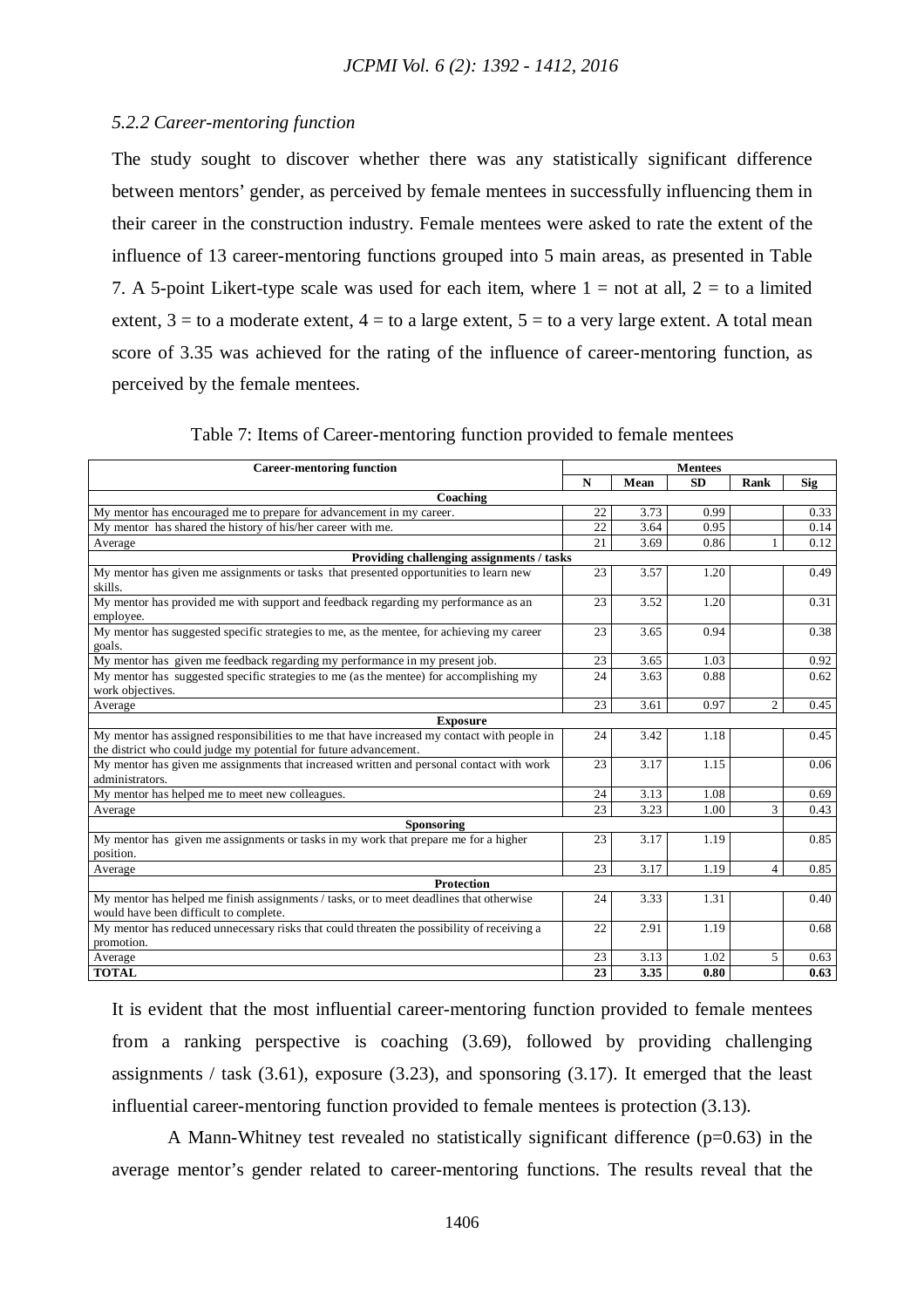## *5.2.2 Career-mentoring function*

The study sought to discover whether there was any statistically significant difference between mentors' gender, as perceived by female mentees in successfully influencing them in their career in the construction industry. Female mentees were asked to rate the extent of the influence of 13 career-mentoring functions grouped into 5 main areas, as presented in Table 7. A 5-point Likert-type scale was used for each item, where  $1 = \text{not at all, } 2 = \text{to a limited}$ extent,  $3 =$  to a moderate extent,  $4 =$  to a large extent,  $5 =$  to a very large extent. A total mean score of 3.35 was achieved for the rating of the influence of career-mentoring function, as perceived by the female mentees.

| <b>Career-mentoring function</b>                                                                                                  | <b>Mentees</b> |      |           |                |      |
|-----------------------------------------------------------------------------------------------------------------------------------|----------------|------|-----------|----------------|------|
|                                                                                                                                   | ${\bf N}$      | Mean | <b>SD</b> | Rank           | Sig  |
| Coaching                                                                                                                          |                |      |           |                |      |
| My mentor has encouraged me to prepare for advancement in my career.                                                              | 22             | 3.73 | 0.99      |                | 0.33 |
| My mentor has shared the history of his/her career with me.                                                                       | 22             | 3.64 | 0.95      |                | 0.14 |
| Average                                                                                                                           | 21             | 3.69 | 0.86      | $\mathbf{1}$   | 0.12 |
| Providing challenging assignments / tasks                                                                                         |                |      |           |                |      |
| My mentor has given me assignments or tasks that presented opportunities to learn new<br>skills.                                  | 23             | 3.57 | 1.20      |                | 0.49 |
| My mentor has provided me with support and feedback regarding my performance as an<br>employee.                                   | 23             | 3.52 | 1.20      |                | 0.31 |
| My mentor has suggested specific strategies to me, as the mentee, for achieving my career<br>goals.                               | 23             | 3.65 | 0.94      |                | 0.38 |
| My mentor has given me feedback regarding my performance in my present job.                                                       | 23             | 3.65 | 1.03      |                | 0.92 |
| My mentor has suggested specific strategies to me (as the mentee) for accomplishing my<br>work objectives.                        | 24             | 3.63 | 0.88      |                | 0.62 |
| Average                                                                                                                           | 23             | 3.61 | 0.97      | $\overline{2}$ | 0.45 |
| <b>Exposure</b>                                                                                                                   |                |      |           |                |      |
| My mentor has assigned responsibilities to me that have increased my contact with people in                                       | 24             | 3.42 | 1.18      |                | 0.45 |
| the district who could judge my potential for future advancement.                                                                 |                |      |           |                |      |
| My mentor has given me assignments that increased written and personal contact with work<br>administrators.                       | 23             | 3.17 | 1.15      |                | 0.06 |
| My mentor has helped me to meet new colleagues.                                                                                   | 24             | 3.13 | 1.08      |                | 0.69 |
| Average                                                                                                                           | 23             | 3.23 | 1.00      | 3              | 0.43 |
| Sponsoring                                                                                                                        |                |      |           |                |      |
| My mentor has given me assignments or tasks in my work that prepare me for a higher<br>position.                                  | 23             | 3.17 | 1.19      |                | 0.85 |
| Average                                                                                                                           | 23             | 3.17 | 1.19      | $\overline{4}$ | 0.85 |
| <b>Protection</b>                                                                                                                 |                |      |           |                |      |
| My mentor has helped me finish assignments / tasks, or to meet deadlines that otherwise<br>would have been difficult to complete. | 24             | 3.33 | 1.31      |                | 0.40 |
| My mentor has reduced unnecessary risks that could threaten the possibility of receiving a<br>promotion.                          | 22             | 2.91 | 1.19      |                | 0.68 |
| Average                                                                                                                           | 23             | 3.13 | 1.02      | 5              | 0.63 |
| <b>TOTAL</b>                                                                                                                      | 23             | 3.35 | 0.80      |                | 0.63 |

Table 7: Items of Career-mentoring function provided to female mentees

It is evident that the most influential career-mentoring function provided to female mentees from a ranking perspective is coaching (3.69), followed by providing challenging assignments / task (3.61), exposure (3.23), and sponsoring (3.17). It emerged that the least influential career-mentoring function provided to female mentees is protection (3.13).

A Mann-Whitney test revealed no statistically significant difference (p=0.63) in the average mentor's gender related to career-mentoring functions. The results reveal that the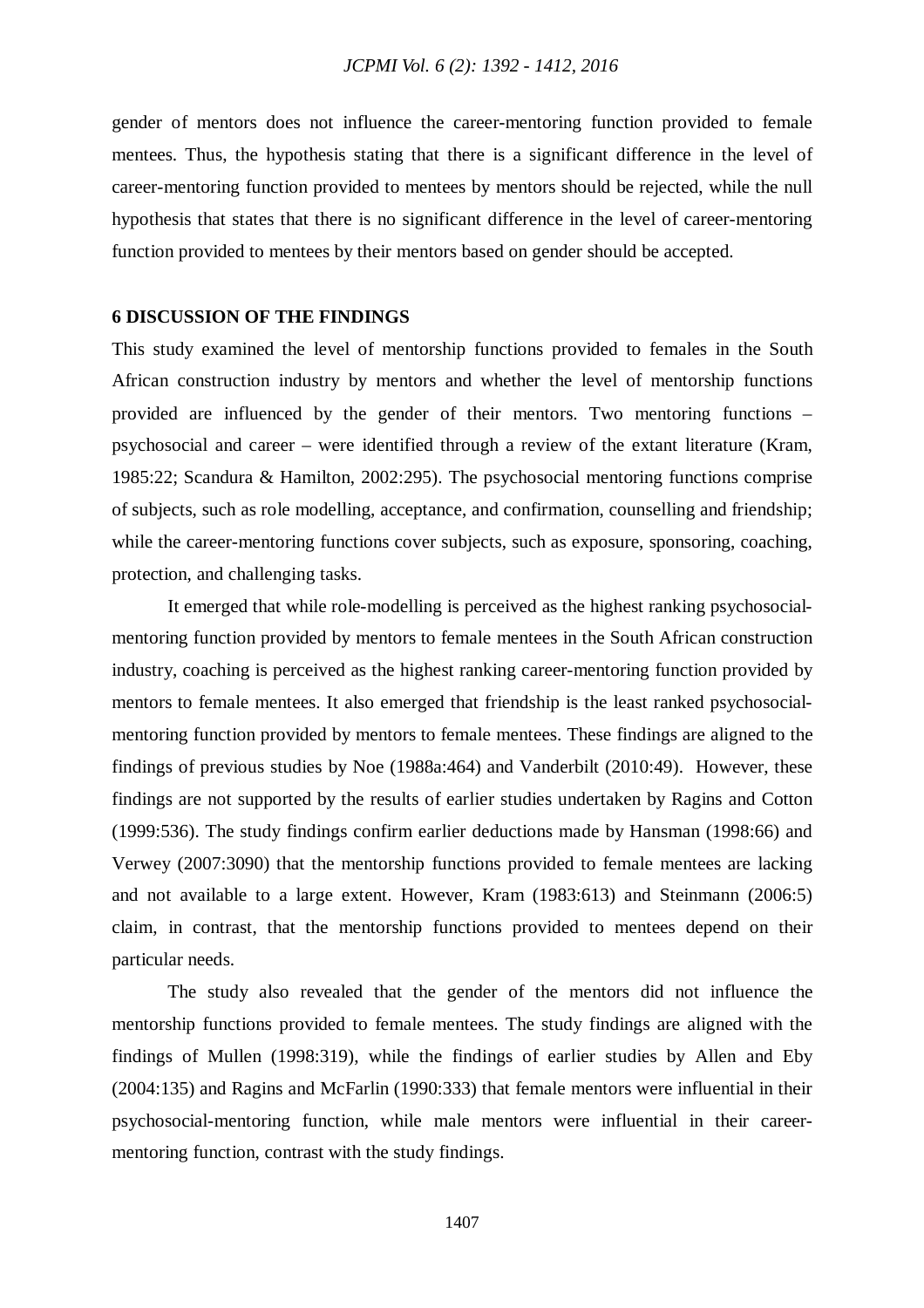gender of mentors does not influence the career-mentoring function provided to female mentees. Thus, the hypothesis stating that there is a significant difference in the level of career-mentoring function provided to mentees by mentors should be rejected, while the null hypothesis that states that there is no significant difference in the level of career-mentoring function provided to mentees by their mentors based on gender should be accepted.

## **6 DISCUSSION OF THE FINDINGS**

This study examined the level of mentorship functions provided to females in the South African construction industry by mentors and whether the level of mentorship functions provided are influenced by the gender of their mentors. Two mentoring functions – psychosocial and career – were identified through a review of the extant literature (Kram, 1985:22; Scandura & Hamilton, 2002:295). The psychosocial mentoring functions comprise of subjects, such as role modelling, acceptance, and confirmation, counselling and friendship; while the career-mentoring functions cover subjects, such as exposure, sponsoring, coaching, protection, and challenging tasks.

It emerged that while role-modelling is perceived as the highest ranking psychosocialmentoring function provided by mentors to female mentees in the South African construction industry, coaching is perceived as the highest ranking career-mentoring function provided by mentors to female mentees. It also emerged that friendship is the least ranked psychosocialmentoring function provided by mentors to female mentees. These findings are aligned to the findings of previous studies by Noe (1988a:464) and Vanderbilt (2010:49). However, these findings are not supported by the results of earlier studies undertaken by Ragins and Cotton (1999:536). The study findings confirm earlier deductions made by Hansman (1998:66) and Verwey (2007:3090) that the mentorship functions provided to female mentees are lacking and not available to a large extent. However, Kram (1983:613) and Steinmann (2006:5) claim, in contrast, that the mentorship functions provided to mentees depend on their particular needs.

The study also revealed that the gender of the mentors did not influence the mentorship functions provided to female mentees. The study findings are aligned with the findings of Mullen (1998:319), while the findings of earlier studies by Allen and Eby (2004:135) and Ragins and McFarlin (1990:333) that female mentors were influential in their psychosocial-mentoring function, while male mentors were influential in their careermentoring function, contrast with the study findings.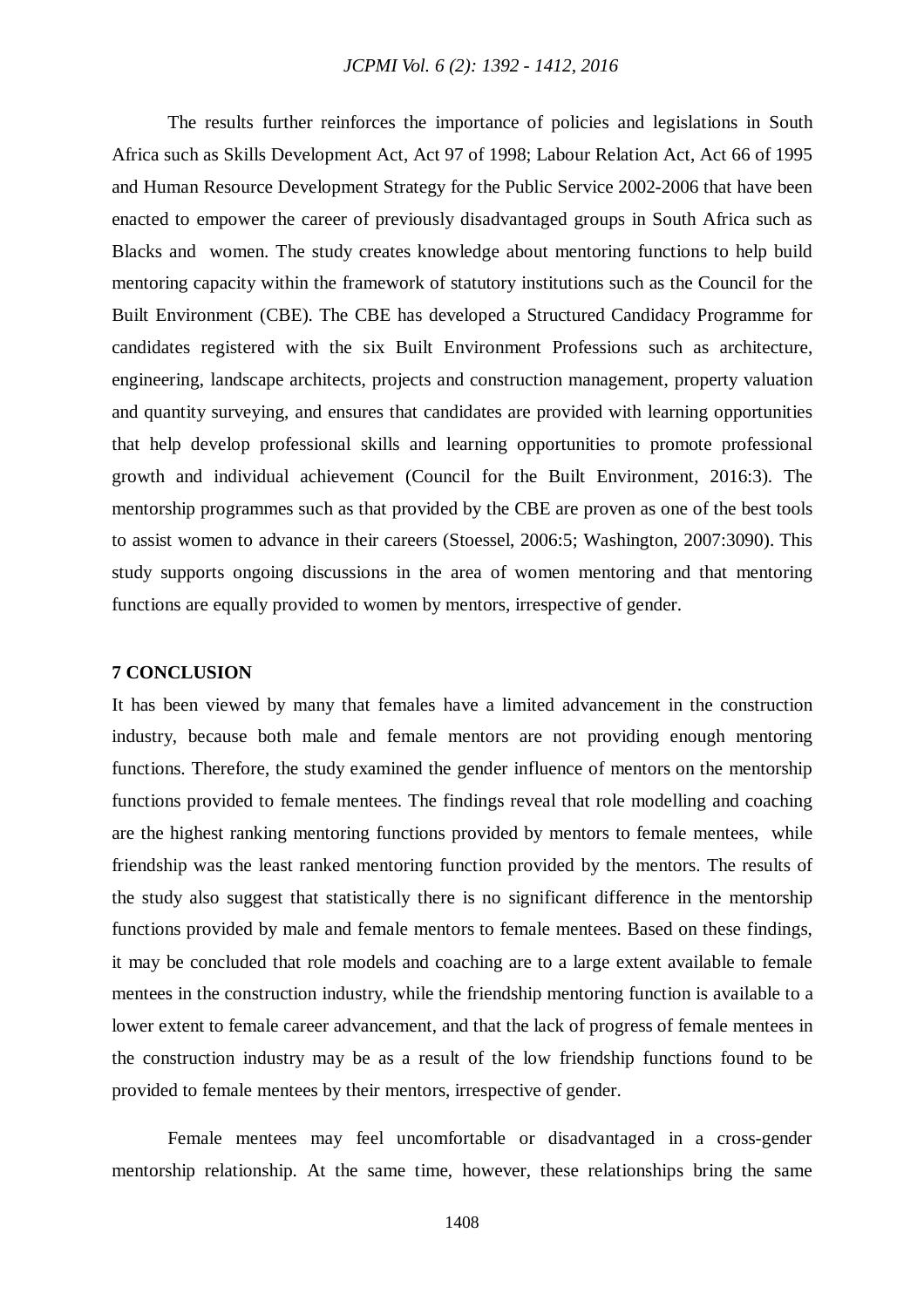The results further reinforces the importance of policies and legislations in South Africa such as Skills Development Act, Act 97 of 1998; Labour Relation Act, Act 66 of 1995 and Human Resource Development Strategy for the Public Service 2002-2006 that have been enacted to empower the career of previously disadvantaged groups in South Africa such as Blacks and women. The study creates knowledge about mentoring functions to help build mentoring capacity within the framework of statutory institutions such as the Council for the Built Environment (CBE). The CBE has developed a Structured Candidacy Programme for candidates registered with the six Built Environment Professions such as architecture, engineering, landscape architects, projects and construction management, property valuation and quantity surveying, and ensures that candidates are provided with learning opportunities that help develop professional skills and learning opportunities to promote professional growth and individual achievement (Council for the Built Environment, 2016:3). The mentorship programmes such as that provided by the CBE are proven as one of the best tools to assist women to advance in their careers (Stoessel, 2006:5; Washington, 2007:3090). This study supports ongoing discussions in the area of women mentoring and that mentoring functions are equally provided to women by mentors, irrespective of gender.

#### **7 CONCLUSION**

It has been viewed by many that females have a limited advancement in the construction industry, because both male and female mentors are not providing enough mentoring functions. Therefore, the study examined the gender influence of mentors on the mentorship functions provided to female mentees. The findings reveal that role modelling and coaching are the highest ranking mentoring functions provided by mentors to female mentees, while friendship was the least ranked mentoring function provided by the mentors. The results of the study also suggest that statistically there is no significant difference in the mentorship functions provided by male and female mentors to female mentees. Based on these findings, it may be concluded that role models and coaching are to a large extent available to female mentees in the construction industry, while the friendship mentoring function is available to a lower extent to female career advancement, and that the lack of progress of female mentees in the construction industry may be as a result of the low friendship functions found to be provided to female mentees by their mentors, irrespective of gender.

Female mentees may feel uncomfortable or disadvantaged in a cross-gender mentorship relationship. At the same time, however, these relationships bring the same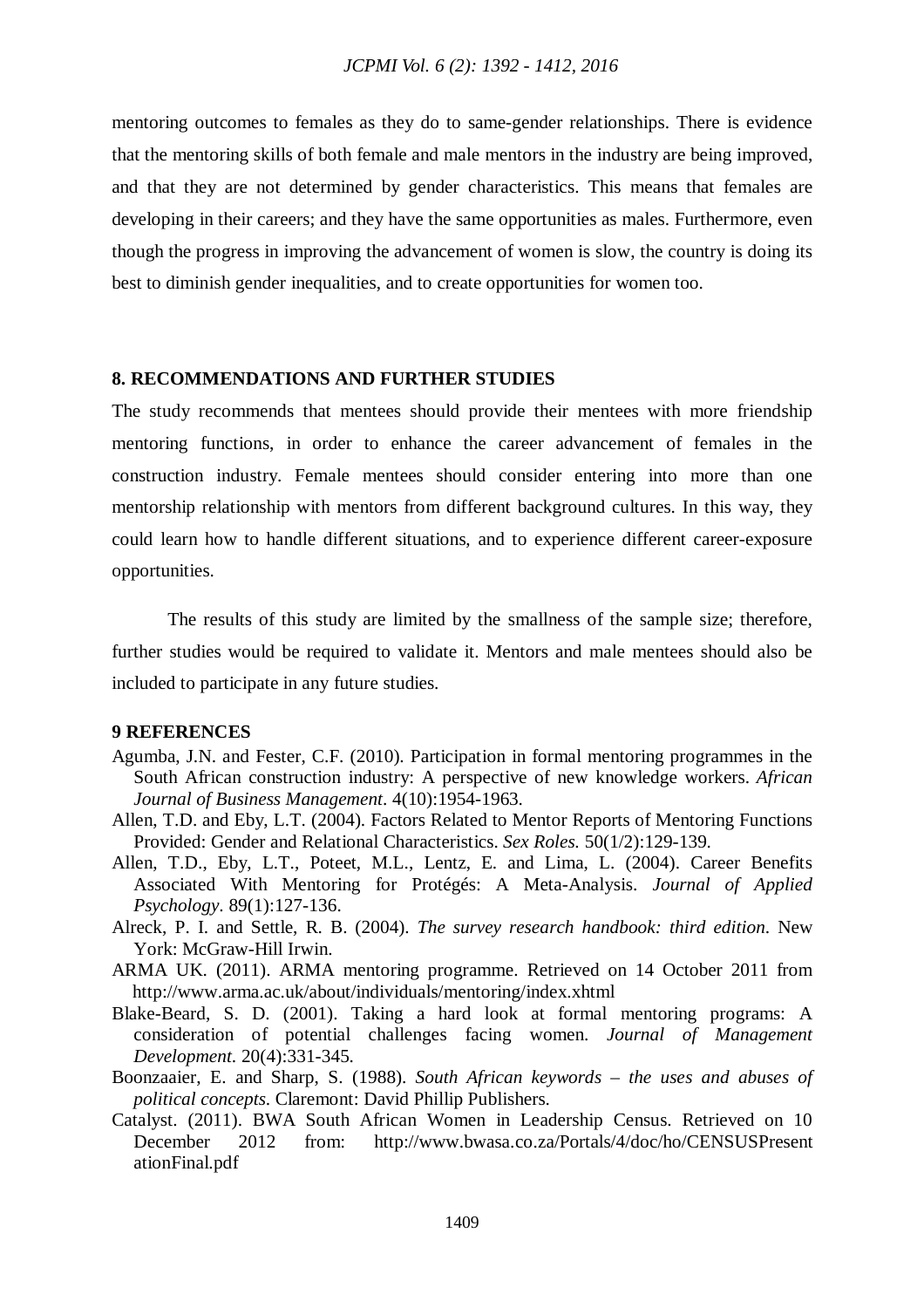mentoring outcomes to females as they do to same-gender relationships. There is evidence that the mentoring skills of both female and male mentors in the industry are being improved, and that they are not determined by gender characteristics. This means that females are developing in their careers; and they have the same opportunities as males. Furthermore, even though the progress in improving the advancement of women is slow, the country is doing its best to diminish gender inequalities, and to create opportunities for women too.

#### **8. RECOMMENDATIONS AND FURTHER STUDIES**

The study recommends that mentees should provide their mentees with more friendship mentoring functions, in order to enhance the career advancement of females in the construction industry. Female mentees should consider entering into more than one mentorship relationship with mentors from different background cultures. In this way, they could learn how to handle different situations, and to experience different career-exposure opportunities.

The results of this study are limited by the smallness of the sample size; therefore, further studies would be required to validate it. Mentors and male mentees should also be included to participate in any future studies.

#### **9 REFERENCES**

- Agumba, J.N. and Fester, C.F. (2010). Participation in formal mentoring programmes in the South African construction industry: A perspective of new knowledge workers. *African Journal of Business Management*. 4(10):1954-1963.
- Allen, T.D. and Eby, L.T. (2004). Factors Related to Mentor Reports of Mentoring Functions Provided: Gender and Relational Characteristics. *Sex Roles.* 50(1/2):129-139.
- Allen, T.D., Eby, L.T., Poteet, M.L., Lentz, E. and Lima, L. (2004). Career Benefits Associated With Mentoring for Protégés: A Meta-Analysis. *Journal of Applied Psychology*. 89(1):127-136.
- Alreck, P. I. and Settle, R. B. (2004). *The survey research handbook: third edition*. New York: McGraw-Hill Irwin.
- ARMA UK. (2011). ARMA mentoring programme. Retrieved on 14 October 2011 from http://www.arma.ac.uk/about/individuals/mentoring/index.xhtml
- Blake-Beard, S. D. (2001). Taking a hard look at formal mentoring programs: A consideration of potential challenges facing women. *Journal of Management Development*. 20(4):331-345.
- Boonzaaier, E. and Sharp, S. (1988). *South African keywords – the uses and abuses of political concepts*. Claremont: David Phillip Publishers.
- Catalyst. (2011). BWA South African Women in Leadership Census. Retrieved on 10 December 2012 from: http://www.bwasa.co.za/Portals/4/doc/ho/CENSUSPresent ationFinal.pdf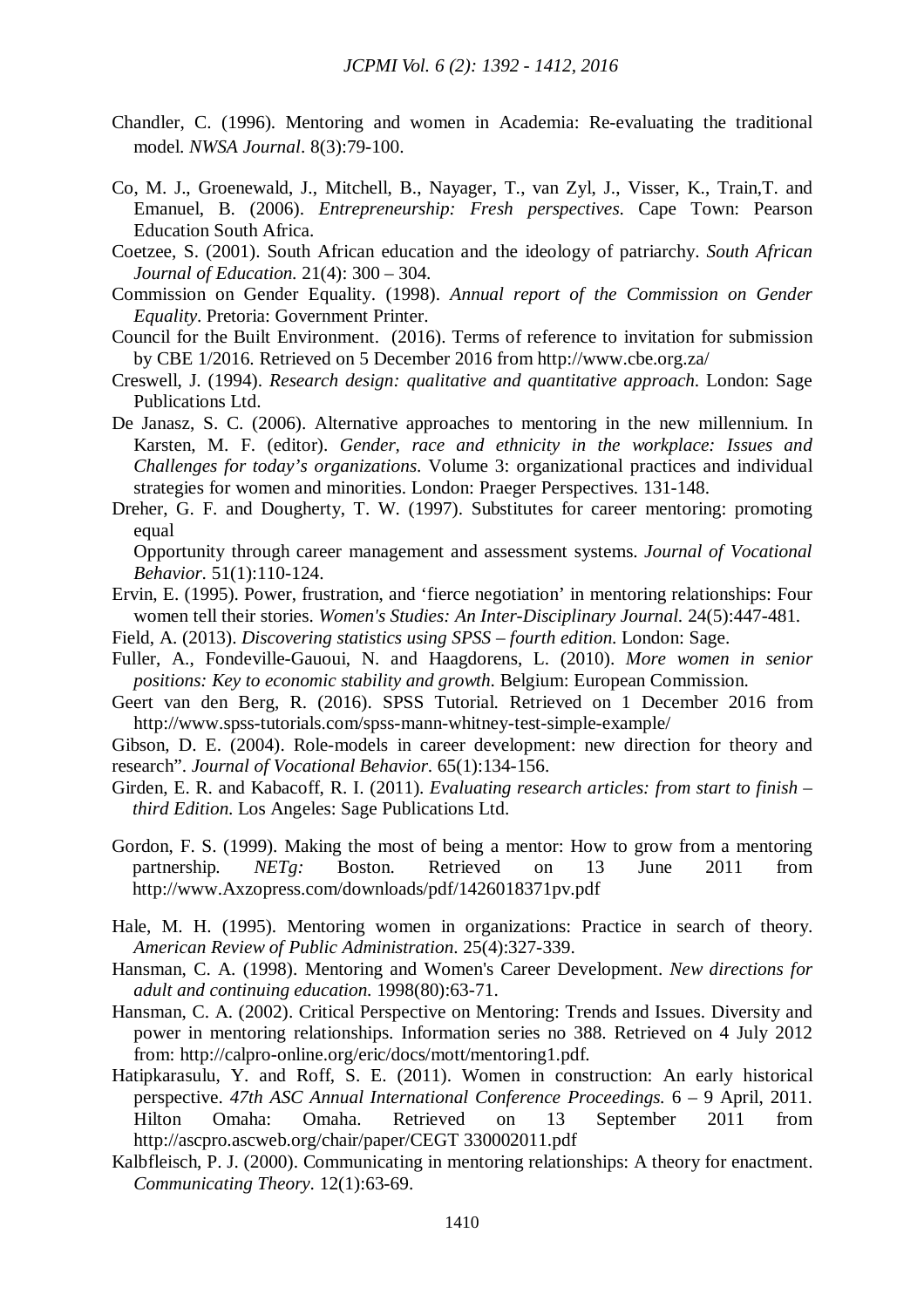- Chandler, C. (1996). Mentoring and women in Academia: Re-evaluating the traditional model. *NWSA Journal*. 8(3):79-100.
- Co, M. J., Groenewald, J., Mitchell, B., Nayager, T., van Zyl, J., Visser, K., Train,T. and Emanuel, B. (2006). *Entrepreneurship: Fresh perspectives*. Cape Town: Pearson Education South Africa.
- Coetzee, S. (2001). South African education and the ideology of patriarchy. *South African Journal of Education*. 21(4): 300 – 304.
- Commission on Gender Equality. (1998). *Annual report of the Commission on Gender Equality*. Pretoria: Government Printer.
- Council for the Built Environment. (2016). Terms of reference to invitation for submission by CBE 1/2016. Retrieved on 5 December 2016 from http://www.cbe.org.za/
- Creswell, J. (1994). *Research design: qualitative and quantitative approach*. London: Sage Publications Ltd.
- De Janasz, S. C. (2006). Alternative approaches to mentoring in the new millennium. In Karsten, M. F. (editor). *Gender, race and ethnicity in the workplace: Issues and Challenges for today's organizations*. Volume 3: organizational practices and individual strategies for women and minorities. London: Praeger Perspectives. 131-148.
- Dreher, G. F. and Dougherty, T. W. (1997). Substitutes for career mentoring: promoting equal

Opportunity through career management and assessment systems. *Journal of Vocational Behavior*. 51(1):110-124.

- Ervin, E. (1995). Power, frustration, and 'fierce negotiation' in mentoring relationships: Four women tell their stories. *Women's Studies: An Inter-Disciplinary Journal.* 24(5):447-481.
- Field, A. (2013). *Discovering statistics using SPSS – fourth edition*. London: Sage.
- Fuller, A., Fondeville-Gauoui, N. and Haagdorens, L. (2010). *More women in senior positions: Key to economic stability and growth*. Belgium: European Commission.
- Geert van den Berg, R. (2016). SPSS Tutorial. Retrieved on 1 December 2016 from http://www.spss-tutorials.com/spss-mann-whitney-test-simple-example/

Gibson, D. E. (2004). Role-models in career development: new direction for theory and research". *Journal of Vocational Behavior*. 65(1):134-156.

- Girden, E. R. and Kabacoff, R. I. (2011). *Evaluating research articles: from start to finish – third Edition*. Los Angeles: Sage Publications Ltd.
- Gordon, F. S. (1999). Making the most of being a mentor: How to grow from a mentoring partnership*. NETg:* Boston. Retrieved on 13 June 2011 from http://www.Axzopress.com/downloads/pdf/1426018371pv.pdf
- Hale, M. H. (1995). Mentoring women in organizations: Practice in search of theory. *American Review of Public Administration*. 25(4):327-339.
- Hansman, C. A. (1998). Mentoring and Women's Career Development. *New directions for adult and continuing education.* 1998(80):63-71.
- Hansman, C. A. (2002). Critical Perspective on Mentoring: Trends and Issues. Diversity and power in mentoring relationships. Information series no 388. Retrieved on 4 July 2012 from: http://calpro-online.org/eric/docs/mott/mentoring1.pdf.
- Hatipkarasulu, Y. and Roff, S. E. (2011). Women in construction: An early historical perspective. *47th ASC Annual International Conference Proceedings.* 6 – 9 April, 2011. Hilton Omaha: Omaha. Retrieved on 13 September 2011 from http://ascpro.ascweb.org/chair/paper/CEGT 330002011.pdf
- Kalbfleisch, P. J. (2000). Communicating in mentoring relationships: A theory for enactment. *Communicating Theory*. 12(1):63-69.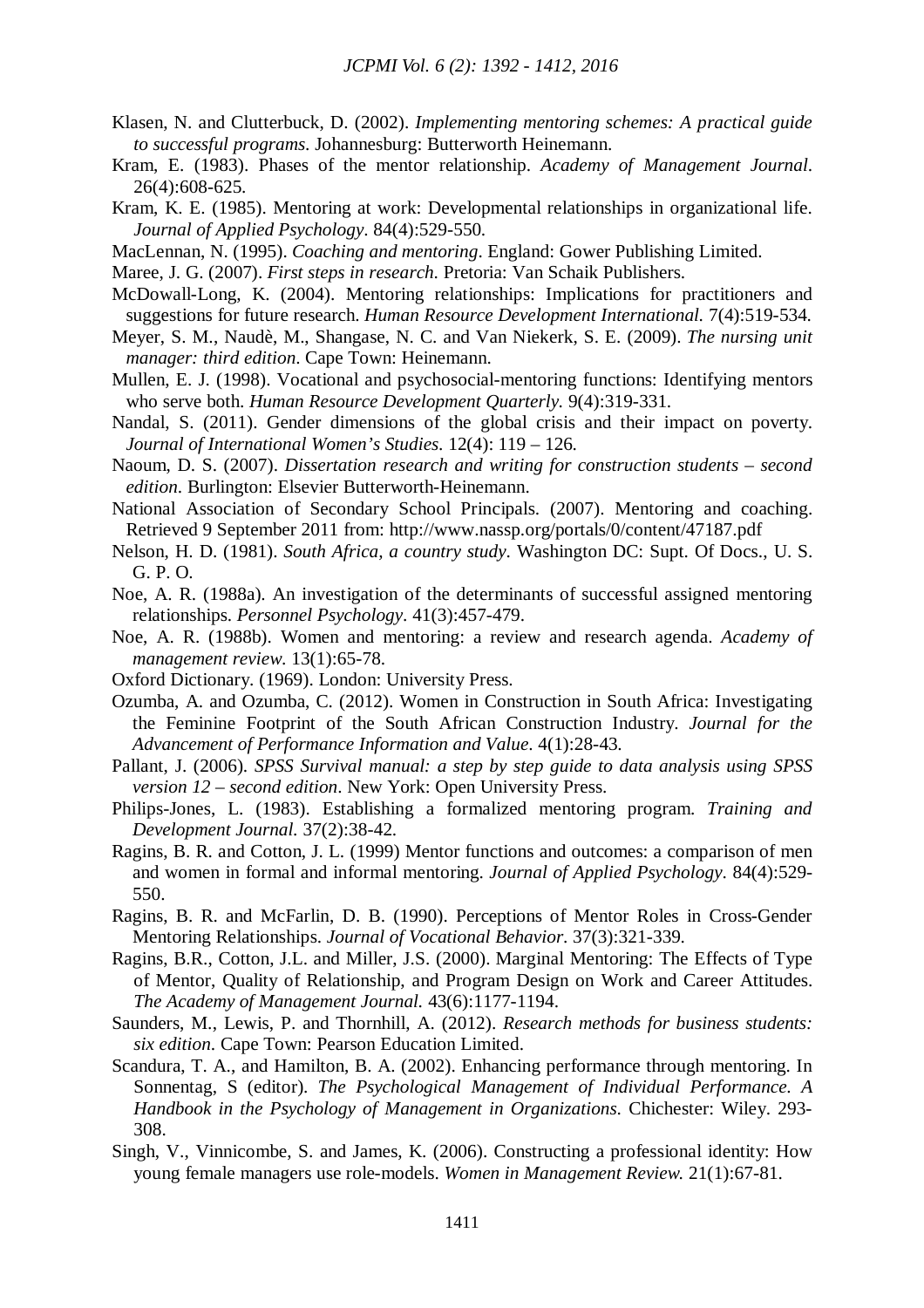- Klasen, N. and Clutterbuck, D. (2002). *Implementing mentoring schemes: A practical guide to successful programs*. Johannesburg: Butterworth Heinemann.
- Kram, E. (1983). Phases of the mentor relationship. *Academy of Management Journal*. 26(4):608-625.
- Kram, K. E. (1985). Mentoring at work: Developmental relationships in organizational life. *Journal of Applied Psychology*. 84(4):529-550.
- MacLennan, N. (1995). *Coaching and mentoring*. England: Gower Publishing Limited.
- Maree, J. G. (2007). *First steps in research*. Pretoria: Van Schaik Publishers.
- McDowall-Long, K. (2004). Mentoring relationships: Implications for practitioners and suggestions for future research. *Human Resource Development International.* 7(4):519-534.
- Meyer, S. M., Naudè, M., Shangase, N. C. and Van Niekerk, S. E. (2009). *The nursing unit manager: third edition*. Cape Town: Heinemann.
- Mullen, E. J. (1998). Vocational and psychosocial-mentoring functions: Identifying mentors who serve both. *Human Resource Development Quarterly.* 9(4):319-331.
- Nandal, S. (2011). Gender dimensions of the global crisis and their impact on poverty. *Journal of International Women's Studies*. 12(4): 119 – 126.
- Naoum, D. S. (2007). *Dissertation research and writing for construction students – second edition*. Burlington: Elsevier Butterworth-Heinemann.
- National Association of Secondary School Principals. (2007). Mentoring and coaching. Retrieved 9 September 2011 from: http://www.nassp.org/portals/0/content/47187.pdf
- Nelson, H. D. (1981). *South Africa, a country study*. Washington DC: Supt. Of Docs., U. S. G. P. O.
- Noe, A. R. (1988a). An investigation of the determinants of successful assigned mentoring relationships. *Personnel Psychology*. 41(3):457-479.
- Noe, A. R. (1988b). Women and mentoring: a review and research agenda. *Academy of management review*. 13(1):65-78.
- Oxford Dictionary. (1969). London: University Press.
- Ozumba, A. and Ozumba, C. (2012). Women in Construction in South Africa: Investigating the Feminine Footprint of the South African Construction Industry. *Journal for the Advancement of Performance Information and Value*. 4(1):28-43.
- Pallant, J. (2006). *SPSS Survival manual: a step by step guide to data analysis using SPSS version 12 – second edition*. New York: Open University Press.
- Philips-Jones, L. (1983). Establishing a formalized mentoring program. *Training and Development Journal.* 37(2):38-42.
- Ragins, B. R. and Cotton, J. L. (1999) Mentor functions and outcomes: a comparison of men and women in formal and informal mentoring. *Journal of Applied Psychology*. 84(4):529- 550.
- Ragins, B. R. and McFarlin, D. B. (1990). Perceptions of Mentor Roles in Cross-Gender Mentoring Relationships. *Journal of Vocational Behavior*. 37(3):321-339.
- Ragins, B.R., Cotton, J.L. and Miller, J.S. (2000). Marginal Mentoring: The Effects of Type of Mentor, Quality of Relationship, and Program Design on Work and Career Attitudes. *The Academy of Management Journal.* 43(6):1177-1194.
- Saunders, M., Lewis, P. and Thornhill, A. (2012). *Research methods for business students: six edition*. Cape Town: Pearson Education Limited.
- Scandura, T. A., and Hamilton, B. A. (2002). Enhancing performance through mentoring. In Sonnentag, S (editor). *The Psychological Management of Individual Performance. A Handbook in the Psychology of Management in Organizations*. Chichester: Wiley. 293- 308.
- Singh, V., Vinnicombe, S. and James, K. (2006). Constructing a professional identity: How young female managers use role-models. *Women in Management Review.* 21(1):67-81.